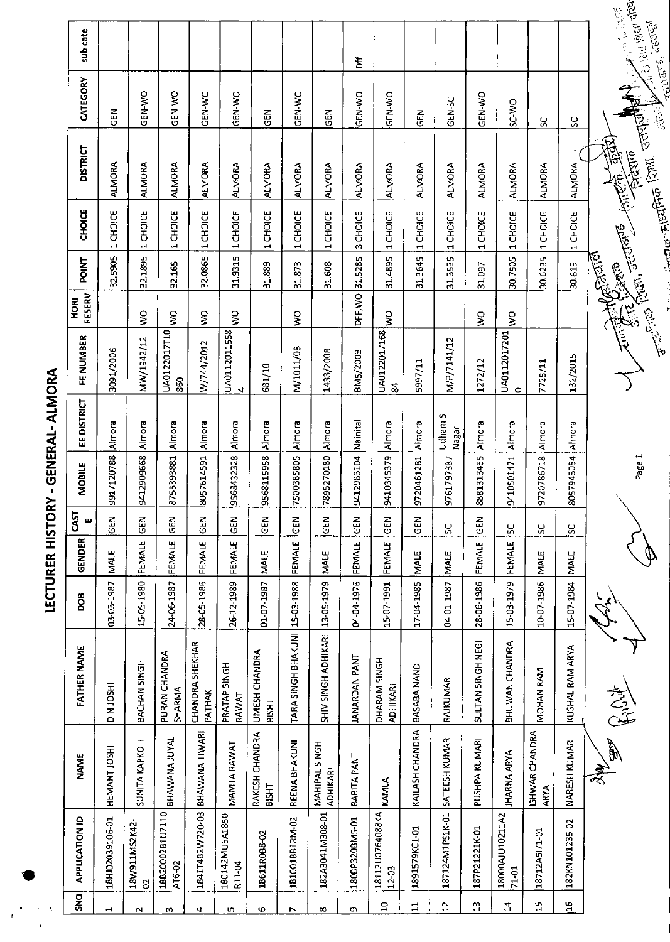| : |
|---|
| ٦ |
|   |
|   |
|   |
|   |
|   |
|   |
|   |
|   |
|   |
|   |
| í |
|   |
|   |
|   |
|   |
| ı |
|   |
|   |
| ı |
|   |
| i |
|   |
|   |
|   |
|   |
|   |
|   |
|   |
|   |
|   |
|   |
|   |
|   |
|   |
|   |
|   |
|   |

 $\overline{r}^2$ 

 $\frac{1}{\sqrt{2}}\frac{1}{\sqrt{2}}\frac{d\lambda}{d\lambda}$ 

| sub cate              |                       |                                |                                |                                  |                          |                                |                         |                           | ξ                    |                                           |                 |                  |                        |                          |                        |                          | $\mathscr{M}_{\mathbb{N}}$ is letter for the $\mathbb{R}^n$<br>Property of the Party<br>स्ताकाड, शहरादल                                                                                                                                       |
|-----------------------|-----------------------|--------------------------------|--------------------------------|----------------------------------|--------------------------|--------------------------------|-------------------------|---------------------------|----------------------|-------------------------------------------|-----------------|------------------|------------------------|--------------------------|------------------------|--------------------------|-----------------------------------------------------------------------------------------------------------------------------------------------------------------------------------------------------------------------------------------------|
| CATEGORY              | <b>GEN</b>            | GEN-WO                         | GEN-WO                         | GEN-WO                           | GEN-WO                   | <b>GEN</b>                     | GEN-WO                  | <b>GEN</b>                | GEN-WO               | GEN-WO                                    | <b>GEN</b>      | GEN-SC           | GEN-WO                 | SC-WO                    | ပ္တ                    | ပ္ပ                      | ಕ್ಷಾಪ<br>ಕ                                                                                                                                                                                                                                    |
| <b>DISTRICT</b>       | ALMORA                | <b>ALMORA</b>                  | <b>ALMORA</b>                  | <b>ALMORA</b>                    | <b>ALMORA</b>            | <b>ALMORA</b>                  | <b>ALMORA</b>           | <b>ALMORA</b>             | <b>ALMORA</b>        | <b>ALMORA</b>                             | <b>ALMORA</b>   | <b>ALMORA</b>    | <b>ALMORA</b>          | <b>ALMORA</b>            | <b>ALMORA</b>          | <b>ALMORA</b>            | Property of the light<br>零<br><b>Ringley</b>                                                                                                                                                                                                  |
| <b>CHOICE</b>         | 1 CHOICE              | CHOICE<br>$\blacksquare$       | CHOICE<br>$\blacksquare$       | 1CHOICE                          | 1 CHOICE                 | 1 CHOICE                       | CHOICE<br>1             | 1 CHOICE                  | 3 CHOICE             | 1 CHOICE                                  | 1 CHOICE        | 1 CHOICE         | CHOICE<br>$\mathbf{r}$ | 1 CHOICE                 | 1 CHOICE               | CHOICE<br>$\blacksquare$ |                                                                                                                                                                                                                                               |
| <b>POINT</b>          | 32.5905               | 32.1895                        | 32.165                         | 32.0865                          | 31.9315                  | 31.889                         | 31.873                  | 31.508                    | 31.5285              | 31.4895                                   | 31.3645         | 31.3535          | 31.097                 | 30.7505                  | 30.6235                | 30.619                   | The Post Country of The Past of Country of the Past of Country of The Past of Country of The Past of Country of The Past of Country of The Past of Country of The Past of Country of The Past of Country of The Past of Countr<br>Tuite March |
| RESERV<br>HORI        |                       | $\mathsf{S}^{\mathsf{O}}$      | ş                              | $\gtrapprox$                     | $\geq$                   |                                | $\overline{\mathbf{S}}$ |                           | DFF, WO              | $\epsilon$                                |                 |                  | $\mathsf{S}$           | Ş                        |                        |                          |                                                                                                                                                                                                                                               |
| EE NUMBER             | 3091/2006             | MW/1942/12                     | UA0122017T10<br>860            | W/744/2012                       | UA0112011558<br>4        | 681/10                         | M/1011/08               | 1433/2008                 | BM5/2003             | UA0122017168<br>$\boldsymbol{\mathsf{z}}$ | 5997/11         | M/P/7141/12      | 1272/12                | UA0112017201<br>$\circ$  | 7725/11                | 132/2015                 |                                                                                                                                                                                                                                               |
| EE DISTRICT           | Almora                | Almora                         | Almora                         | Almora                           | Almora                   | Almora                         | Almora                  | Almora                    | Nainital             | Almora                                    | Almora          | Udham S<br>Nagar | Almora                 | Almora                   | Almora                 | Almora                   |                                                                                                                                                                                                                                               |
| <b>MOBILE</b>         | 9917120788            | 9412909668                     | 8755393881                     | 8057614591                       | 9568432328               | 9568115958                     | 7500385805              | 7895270180                | 9412983104           | 9410345379                                | 9720461281      | 9761797387       | 8881313465             | 9410501471               | 9720786718             | 8057943054               | Page 1                                                                                                                                                                                                                                        |
| <b>GAST</b><br>ш      | <b>GEN</b>            | GEN                            | <b>SEN</b>                     | $\frac{5}{5}$                    | <b>GEN</b>               | <b>GEN</b>                     | <b>GEN</b>              | $\frac{2}{5}$             | <b>GEN</b>           | GEN                                       | GEN             | ပ္တ              | <b>GEN</b>             | ပ္တ                      | č                      | S                        |                                                                                                                                                                                                                                               |
| <b>GENDER</b>         | <b>MALE</b>           | FEMALE                         | FEMALE                         | FEMALE                           | FEMALE                   | MALE                           | FEMALE                  | <b>MALE</b>               | FEMALE               | FEMALE                                    | <b>MALE</b>     | MALE             | FEMALE                 | FEMALE                   | <b>MALE</b>            | <b>MALE</b>              |                                                                                                                                                                                                                                               |
| BOO                   | 03-03-1987            | 15051980                       | 24-06-1987                     | 28-05-1986                       | 26-12-1989               | 01-07-1987                     | 15-03-1988              | 13-05-1979                | 04-04-1976           | 15-07-1991                                | 17-04-1985      | 04-01-1987       | 28-06-1986             | 15-03-1979               | 10-07-1986             | 15-07-1984               |                                                                                                                                                                                                                                               |
| <b>FATHER NAME</b>    | D NJOSHI              | BACHAN SINGH                   | PURAN CHANDRA<br><b>SHARMA</b> | <b>CHANDRA SHEKHAR</b><br>PATHAK | PRATAP SINGH<br>RAWAT    | UMESH CHANDRA<br>BISHT         | TARA SINGH BHAKUNI      | SHIV SINGH ADHIKARI       | <b>JANARDAN PANT</b> | DHARAM SINGH<br>ADHIKARI                  | BASABA NAND     | RAJKUMAR         | SULTAN SINGH NEGI      | <b>BHUWAN CHANDRA</b>    | MOHAN RAM              | KUSHAL RAM ARYA          | 意子属                                                                                                                                                                                                                                           |
| <b>NAME</b>           | HEMANT JOSHI          | <b>SUNITA KAPKOTI</b>          | BHAWANA JUYAL                  | BHAWANA TIWARI                   | MAMTA RAWAT              | RAKESH CHANDRA<br><b>BISHT</b> | REENA BHAKUNI           | MAHIPAL SINGH<br>ADHIKARI | BABITA PANT          | <b>KAMLA</b>                              | KAILASH CHANDRA | SATEESH KUMAR    | PUSHPA KUMARI          | <b>JHARNA ARYA</b>       | ISHWAR CHANDRA<br>ARYA | NARESH KUMAR             |                                                                                                                                                                                                                                               |
| <b>APPLICATION ID</b> | 18HJ02039106-01       | 18W911MS2K42<br>S <sub>2</sub> | 18820002B1U7110<br>A16-02      | 1841T4B2W720-03                  | 180142MU5A1850<br>R11-04 | 18611R0B8-02                   | 1810018B1RM-02          | 182A3041M308-01           | 180BP320BM5-01       | 18112U0764088KA<br>12-03                  | 1891579KC1-01   | 187124M1PS1K-01  | 187P21221K-01          | 18000AJU10211A2<br>71-01 | 18712A5171-01          | 182KN101235-02           |                                                                                                                                                                                                                                               |
| <b>SNO</b>            | $\mathbf{\mathbf{H}}$ | $\sim$                         | w                              | 4                                | r.                       | Ф                              | $\overline{ }$          | œ                         | c                    | $\Xi$                                     | $\mathbf{r}$    | $\square$        | $\mathbf{a}$           | $\Xi$                    | $\Xi$                  | $\Xi$                    |                                                                                                                                                                                                                                               |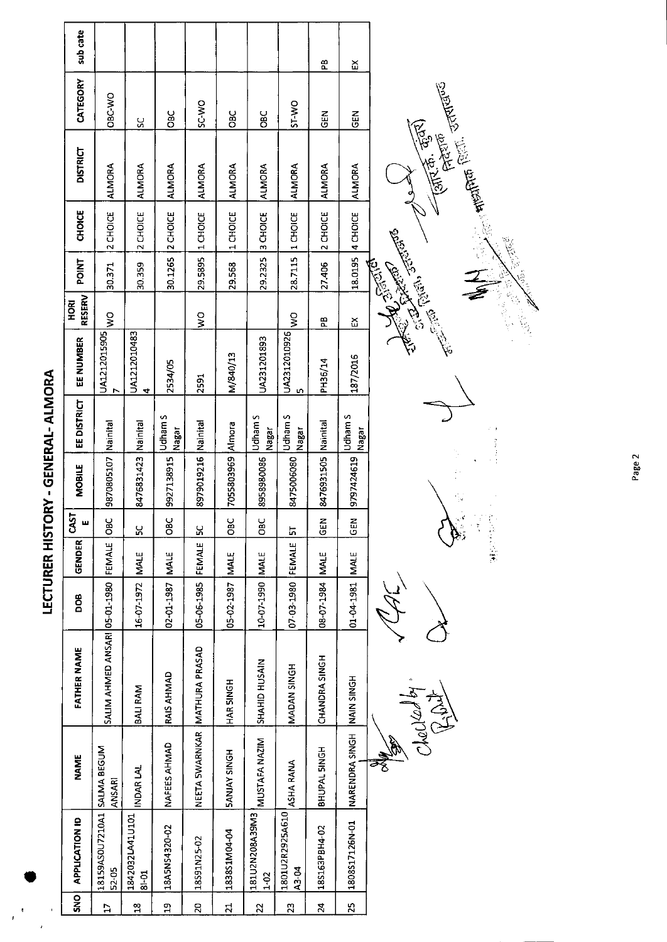| j |
|---|
|   |
|   |
|   |
| l |
|   |
|   |
|   |
|   |
| j |
|   |
| ì |
|   |
|   |
|   |
|   |
| I |
|   |
|   |
|   |
|   |
|   |
| ı |
|   |
|   |
|   |
|   |
|   |
|   |
|   |

 $\frac{1}{\sqrt{2}}$  $\cdot$ 

 $\mathcal{L}$ 

| sub cate              |                                      |                          |                             |                                 |                     |                             |                          | æ                   | č                 |                                |
|-----------------------|--------------------------------------|--------------------------|-----------------------------|---------------------------------|---------------------|-----------------------------|--------------------------|---------------------|-------------------|--------------------------------|
| CATEGORY              | OBC-WO                               | ပ္တ                      | ăQ                          | <b>O/V-2S</b>                   | ЭEС                 | <b>OBC</b>                  | ST-WO                    | <b>GEN</b>          | <b>KEN</b>        |                                |
| <b>DISTRICT</b>       | <b>ALMORA</b>                        | <b>ALMORA</b>            | <b>ALMORA</b>               | <b>ALMORA</b>                   | <b>ALMORA</b>       | <b>ALMORA</b>               | <b>ALMORA</b>            | <b>ALMORA</b>       | <b>ALMORA</b>     |                                |
| <b>CHOICE</b>         | 2 CHOICE                             | 2 CHOICE                 |                             |                                 | 1 CHOICE            |                             |                          | 2 CHOICE            | 4 CHOICE          |                                |
| POINT                 | 30.371                               | 30.359                   | 30.1265 2 CHOICE            | 29.5895 1 CHOICE                | 29.568              | 29.2325 3 CHOICE            | 28.7115 1 CHOICE         | 27,406              | 18.0195           |                                |
| RESERV<br><b>ROKI</b> | $\geq$                               |                          |                             | $\frac{1}{3}$                   |                     |                             | $\geq$                   | æ                   | č                 | <b>Control Control Control</b> |
| EE NUMBER             | UA1212015905                         | UA1212010483<br>4        | 2534/05                     | 2591                            | M/840/13            | UA231201893                 | UA2312010926<br>L)       | PH36/14             | 187/2016          |                                |
| <b>EE DISTRICT</b>    |                                      |                          | Udham <sub>S</sub><br>Nagar |                                 |                     | Udham <sub>S</sub><br>Nagar | Udham S<br>Nagar         |                     | Udham S<br>Nagar  |                                |
| <b>MOBILE</b>         | 9870805107   Nainital                | 8476831423 Nainital      | 9927138915                  | 8979019216 Nainital             | 7055803969 Almora   | 8958980086                  | 8475006080               | 8476931505 Nainital | 9797424619        |                                |
| <b>GAST</b>           | $rac{1}{280}$                        | ں<br>م                   | OBC                         | <u>یر</u>                       | OBC                 | <b>OBC</b>                  | <u>ភ</u>                 | <b>GEN</b>          | GEN               |                                |
| GENDER                |                                      | <b>MALE</b>              | <b>MALE</b>                 |                                 | <b>MALE</b>         |                             |                          | <b>MALE</b>         | <b>MALE</b>       |                                |
| BOO                   |                                      | 16-07-1972               | 02-01-1987                  | 05-06-1985 FEMALE               | 05-02-1987          | 10-07-1990 MALE             | 07-03-1980 FEMALE        | 08-7-1984           | 01-04-1981        |                                |
| <b>FATHER NAME</b>    | SALIM AHMED ANSARI 05-01-1980 FEMALE | BALI RAM                 | RAIS AHMAD                  |                                 | HAR SINGH           | SHAHID HUSAIN               | MADAN SINGH              | CHANDRA SINGH       | <b>HONIS NIAN</b> |                                |
| <b>NAME</b>           | ANSARI                               | INDAR LAL                | NAFEES AHMAD                | NEETA SWARNKAR   MATHURA PRASAD | <b>SANJAY SINGH</b> | MUSTAFA NAZIM               | ASHA RANA                | BHUPAL SINGH        | NARENDRA SINGH    |                                |
| <b>APPLICATION ID</b> | 18159ASOU7210A1 SALMA BEGUM<br>52-05 | 1842032LA41U101<br>81-01 | 18A5NS4320-02               | 18591N25-02                     | 1838S1M04-04        | 181U2N208A39M3<br>$1 - 02$  | 1801U2R2925A610<br>A3-04 | 18S163PBH4-02       | 1808S17126N-01    |                                |
| <b>ONS</b>            | $\overline{L}$                       | $\frac{8}{10}$           | $\frac{9}{1}$               | $\frac{5}{20}$                  | $\overline{z}$      | $\tilde{\mathbf{z}}$        | $\frac{23}{2}$           | $\frac{24}{5}$      | $\frac{25}{25}$   |                                |

 $Chal4$ 

٠, Í,

♂

 $\begin{bmatrix} 1 & 1 \\ 1 & 1 \\ 1 & 1 \end{bmatrix}$ 

ł

中国的金属

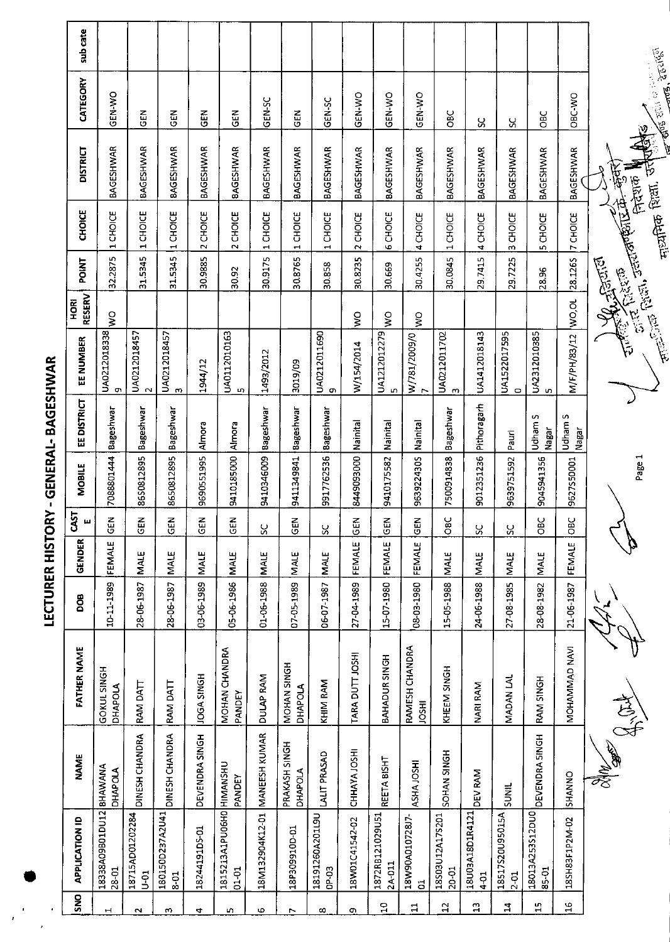| <b>SNO</b>     | <b>APPLICATION ID</b>                 | <b>NAME</b>              | FATHER NAME                    | 80g        | GENDER       | <b>CAST</b><br>щ | <b>MOBILE</b>       | <b>EE DISTRICT</b>  | EE NUMBER                               | RESERV<br>HORI | <b>POINT</b> | <b>CHOICE</b>                           | <b>DISTRICT</b>  | CATEGORY                                      | sub cate |
|----------------|---------------------------------------|--------------------------|--------------------------------|------------|--------------|------------------|---------------------|---------------------|-----------------------------------------|----------------|--------------|-----------------------------------------|------------------|-----------------------------------------------|----------|
|                | AMANAH8   SILUQIGOA8E8E<br>$28 - 01$  | DHAPOLA                  | GOKUL SINGH<br>DHAPOLA         | 10-11-1989 | FEMALE       | 군<br>양           | 7088801444          | Bageshwar           | UA0212018338<br>ō                       | $\frac{1}{3}$  | 32.2875      | CHOICE<br>$\blacksquare$                | BAGESHWAR        | GEN-WO                                        |          |
| $\sim$         | 18715AD01202284<br>$\overline{5}$     | DINESH CHANDRA           | RAM DATT                       | 28-06-1987 | MALE         | $rac{1}{6}$      | 8650812895          | Bageshwar           | UA0212018457<br>$\sim$                  |                | 31.5345      | 1 CHOICE                                | <b>BAGESHWAR</b> | 준<br>연                                        |          |
| $\sim$         | 180150D237A2U41<br>$8-01$             | DINESH CHANDRA           | RAM DATT                       | 28-06-1987 | MALE         | <b>GEN</b>       | 8650812895          | Bageshwar           | UA0212018457<br>$\sim$                  |                | 31.5345      | CHOICE<br>$\blacksquare$                | <b>BAGESHWAR</b> | る<br>GEN                                      |          |
| 4              | 18244191D5-01                         | DEVENDRA SINGH           | <b>IOGA SINGH</b>              | 03-06-1989 | <b>MALE</b>  | $rac{2}{9}$      | 9690551995          | Almora              | 1944/12                                 |                | 30.9885      | 2 CHOICE                                | BAGESHWAR        | <b>GEN</b>                                    |          |
| Ю              | 1815213A1PU06HO HIMANSHU<br>$01 - 01$ | PANDEY                   | MOHAN CHANDRA<br>PANDEY        | 05-06-1986 | MALE         | M3D              | 9410185000          | Almora              | UA0112010163<br>LO <sub>1</sub>         |                | 30.92        | CHOICE<br>$\sim$                        | <b>BAGESHWAR</b> |                                               |          |
| Ю              | 18M132904K12-01                       | MANEESH KUMAR            | DULAP RAM                      | 01-06-1988 | MALE         | ပ္တ              | 9410346009          | <b>Bageshwar</b>    | 1493/2012                               |                | 30.9175      | CHOICE<br>$\blacksquare$                | <b>BAGESHWAR</b> | GEN-SC                                        |          |
|                | 18P309910D-01                         | PRAKASH SINGH<br>DHAPOLA | MOHAN SINGH<br>DHAPOLA         | 07 05 1989 | MALE         | $\frac{2}{9}$    | 9411349841          | <b>Bageshwar</b>    | 3019/09                                 |                | 30.8765      | CHOICE<br>$\blacksquare$                | <b>BAGESHWAR</b> | ξ                                             |          |
| $\infty$       | 18191260A201L9U<br>OP-03              | <b>LALIT PRASAD</b>      | KHIM RAM                       | 06-07-1987 | <b>INALE</b> | ჯ                | 9917762536          | <b>Bageshwar</b>    | UA0212011690<br>c                       |                | 30.858       | CHOICE<br>$\blacksquare$                | BAGESHWAR        | GEN-SC                                        |          |
| ጣ              | 18W01C41542-02                        | CHHAYA JOSHI             | TARA DUTT JOSHI                | 27-04-1989 | FEMALE       | $rac{2}{5}$      | B449093000 Nainital |                     | W/154/2014                              | $\frac{1}{3}$  | 30.8235      | CHOICE<br>$\mathbf{\tilde{c}}$          | BAGESHWAR        | GEN-WO                                        |          |
| $\overline{a}$ | 1872RB121029U51<br>2A-011             | REETA BISHT              | BAHADUR SINGH                  | 15-07-1980 | FEMALE       | $rac{2}{5}$      | 9410175582          | Nainital            | UA1212012279<br>5                       | $\frac{1}{3}$  | 30.669       | CHOICE<br>ما                            | <b>BAGESHWAR</b> | GEN-WO                                        |          |
| $\Xi$          | 18W90A010728J7-<br>ă                  | ASHA JOSHI               | RAMESH CHANDRA<br><b>IRSOI</b> | 08-03-1980 | FEMALE       | <b>SEN</b>       | 9639224305          | Nainital            | W/781/2009/0<br>$\ddot{\phantom{1}}$    | $\frac{1}{2}$  | 30.4255      | 4 CHOICE                                | <b>BAGESHWAR</b> | GEN-WO                                        |          |
| $\overline{a}$ | 18S03U12A17S201<br>20-01              | SOHAN SINGH              | KHEEM SINGH                    | 15-05-1988 | <b>MALE</b>  | <b>DBC</b>       | 7500914838          | Bageshwar           | UA0212011702<br>$\boldsymbol{\epsilon}$ |                | 30.0845      | 1 CHOICE                                | BAGESHWAR        | OBC                                           |          |
| $\mathbf{u}$   | 18U03A18D1R4121<br>$4 - 01$           | DEV RAM                  | NARI RAM                       | 24-06-1988 | MALE         | ပ္တ              | 9012351236          | Pithoragarh         | UA1412018143                            |                | 29.7415      | 4 CHOICE                                | BAGESHWAR        | ပ္တ                                           |          |
| $\mathbf{z}$   | 18517S20U95015A<br>$2 - 01$           | SUNIL                    | MADAN LAL                      | 27-08-1985 | <b>MALE</b>  | ပ္တ              | 9639751592          | Pauri               | UA1522017595<br>$\circ$                 |                | 29.7225      | CHOICE<br>$\omega$                      | BAGESHWAR        | ႘                                             |          |
| $\frac{5}{11}$ | 18013A253S12DU0<br>85-01              | DEVENDRA SINGH           | RAM SINGH                      | 28-08-1982 | <b>MALE</b>  | <b>DRC</b>       | 9045941356          | n<br>Udham<br>Nagar | UA2312010385<br>LD.                     |                | 28.96        | CHOICE<br>۱η                            | BAGESHWAR        | ЭEС                                           |          |
| $\overline{a}$ | 18SH83F1P2M-02                        | <b>ONNAHS</b>            | MOHAMMAD NAVI                  | 21-06-1987 | FEMALE       | ОBC              | 9627550001          | Udham S<br>Nagar    | M/F/PH/83/12                            | WO,OL          | 28.1265      | 7 CHOICE                                | BAGESHWAR        | OBC-WO                                        |          |
|                |                                       | Artists of               |                                |            |              |                  | Page 1              |                     | <b>Controller Controller</b>            |                |              | Fried Rich, John Bally (1984)           | निदेशक           |                                               |          |
|                |                                       |                          |                                |            |              |                  |                     |                     |                                         |                |              | $\frac{1}{2}$ and $\frac{1}{2}$ (simil. | B                | <b>THE . 2501601</b><br><b>Allen Strategy</b> |          |

LECTURER HISTORY - GENERAL- BAGESHWAR

 $\sum_{i=1}^n$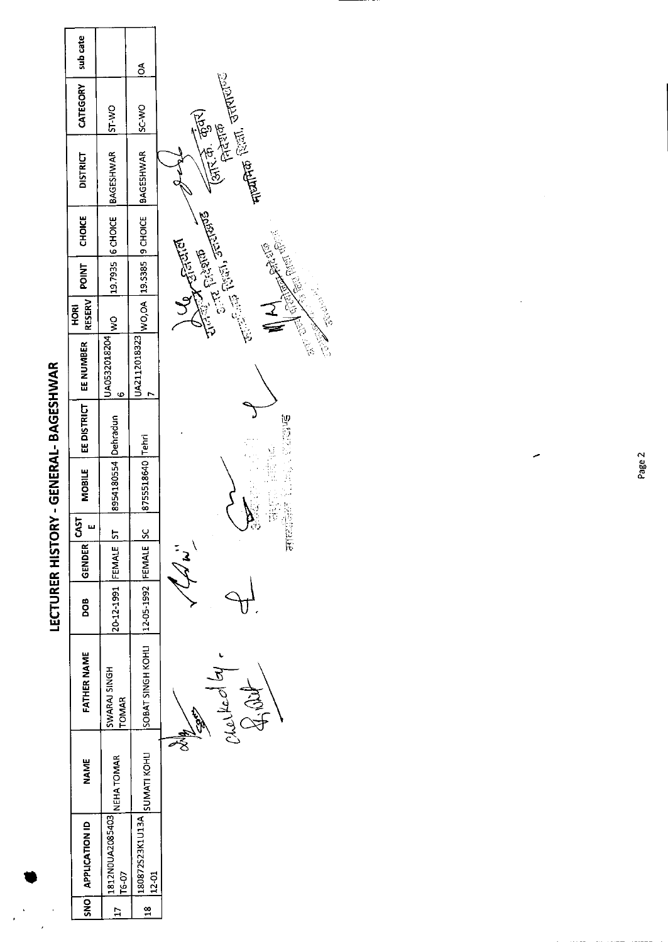|                                       | sub cate              |                              | ర్                           |                                                                                                                                                                                                             |
|---------------------------------------|-----------------------|------------------------------|------------------------------|-------------------------------------------------------------------------------------------------------------------------------------------------------------------------------------------------------------|
|                                       | CATEGORY              | <b>OW-LS</b>                 | OW.3S                        |                                                                                                                                                                                                             |
|                                       | <b>DISTRICT</b>       | BAGESHWAR                    | <b>BAGESHWAR</b>             | $\frac{1}{\left( \frac{1}{2} \right)^{2} \left( \frac{1}{2} \right)^{2}}$ (single $\frac{1}{2}$ and $\frac{1}{2}$ and $\frac{1}{2}$ and $\frac{1}{2}$ and $\frac{1}{2}$ and $\frac{1}{2}$ and $\frac{1}{2}$ |
|                                       | <b>CHOICE</b>         | 19.7935 6 CHOICE             | <b>WO,OA</b> 19.5385 SCHOICE |                                                                                                                                                                                                             |
|                                       | POINT                 |                              |                              |                                                                                                                                                                                                             |
|                                       | <b>RESERV</b><br>HORI | $\frac{1}{2}$                |                              | July Carter                                                                                                                                                                                                 |
|                                       | EE NUMBER             | UA0532018204<br>$\bullet$    | UA2112018323                 | <b>Contract of Contract of Seconds</b>                                                                                                                                                                      |
|                                       | EE DISTRICT           |                              |                              | <b>Second Control</b>                                                                                                                                                                                       |
|                                       | <b>MOBILE</b>         | 8954180554 Dehradun          | 8755518640 Tehri             | i.<br>İV                                                                                                                                                                                                    |
|                                       | CAST<br>ш             |                              |                              |                                                                                                                                                                                                             |
| LECTURER HISTORY - GENERAL- BAGESHWAR | <b>GENDER</b>         |                              |                              | स्कृत<br>i<br>Vi                                                                                                                                                                                            |
|                                       | BOO                   | 20-12-1991 FEMALE ST         | 12-05-1992 FEMALE SC         |                                                                                                                                                                                                             |
|                                       | FATHER NAME           | SWARAJ SINGH<br><b>TOMAR</b> | SOBAT SINGH KOHLI            | Charled by.<br>$\sum_{i=1}^n\sum_{j=1}^n\mathbf{1}_j\mathbf{1}_j$                                                                                                                                           |
|                                       | <b>NAME</b>           | NEHA TOMAR                   | SUMATI KOHLI                 |                                                                                                                                                                                                             |
|                                       | <b>APPLICATION ID</b> | 1812NOUA2085403<br>T6-07     | 180872523K1U13A<br>12-01     |                                                                                                                                                                                                             |
|                                       | SNO                   | E                            | $\frac{8}{11}$               |                                                                                                                                                                                                             |

## Creatures

 $\cdot$ 

 $\frac{1}{2}$ 

ł,

 $\overline{\phantom{0}}$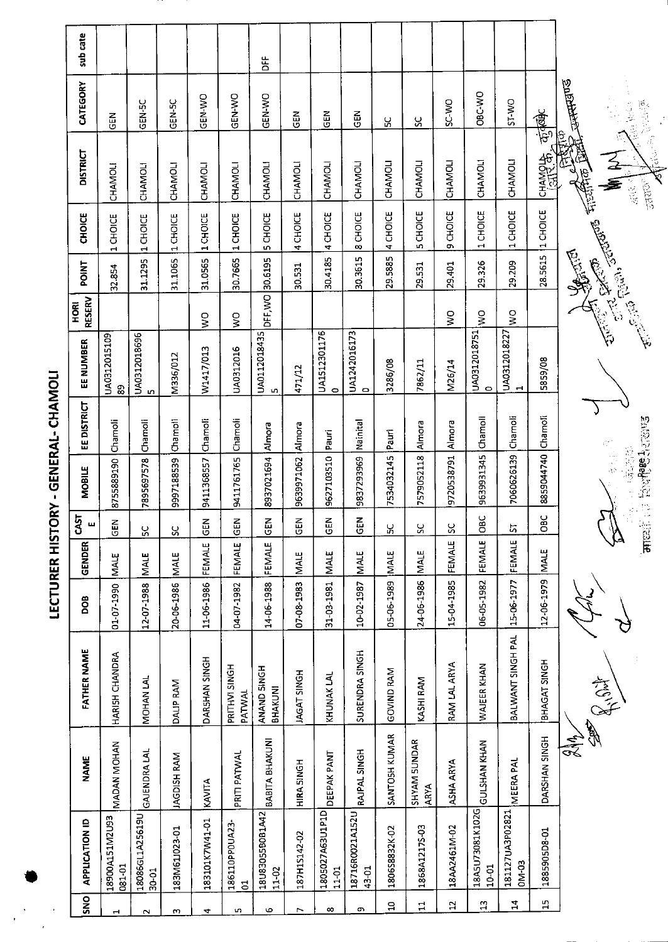| SNO            | <b>APPLICATION ID</b>          | <b>NAME</b>          | <b>FATHER NAME</b>      | DOB        | GENDER       | CAST<br>ш  | <b>MOBILE</b>      | <b>EE DISTRICT</b> | EE NUMBER                             | RESERV<br>HORI        | POINT   | <b>CHOICE</b>            | <b>DISTRICT</b> | CATEGORY          | sub cate |
|----------------|--------------------------------|----------------------|-------------------------|------------|--------------|------------|--------------------|--------------------|---------------------------------------|-----------------------|---------|--------------------------|-----------------|-------------------|----------|
| H              | E602MI51M20068I<br>081-01      | MADAN MOHAN          | HARISH CHANDRA          | 01-07-1990 | <b>MALE</b>  | <b>GEN</b> | 8755889190         | Chamoli            | UA0312015109<br>$\pmb{\mathcal{S}}$   |                       | 32.854  | CHOICE<br>$\blacksquare$ | <b>CHAMOLI</b>  | 즶                 |          |
| $\sim$         | 18086GL1A25619U<br>30-01       | GAJENDRA LAL         | MOHAN LAL               | 12-07-1988 | <b>INALE</b> | ွှ         | 7895697578         | Chamoli            | UA0312018696<br>m                     |                       | 31.1295 | 1 CHOICE                 | <b>CHAMOLI</b>  | GEN-5C            |          |
| w              | 183M61J023-01                  | <b>JAGDISH RAM</b>   | DALIP RAM               | 20-06-1986 | <b>INALE</b> | χ          | 9997188539         | Chamoli            | M336/012                              |                       | 31.1065 | 1 CHOICE                 | <b>CHAMOLI</b>  | GEN <sub>5C</sub> |          |
| 4              | 183101K7W41-01                 | KAVITA               | DARSHAN SINGH           | 11-06-1986 | FEMALE       | M3D        | 9411368557         | Chamoli            | W1417/013                             | $\frac{8}{5}$         | 31.0565 | 1 CHOICE                 | <b>CHAMOLI</b>  | GEN-WO            |          |
| n              | 186110PP0UA23-<br>$\mathbf{S}$ | PRITI PATWAL         | PRITHVI SINGH<br>PATWAL | 04-07-1982 | FEMALE       | <b>GEN</b> | 9411761765         | Chamoli            | UA0312016                             | $\frac{1}{2}$         | 30.7665 | 1 CHOICE                 | CHAMOLI         | GEN-WO            |          |
| Ю              | 18U8305580B1A42<br>11-02       | BABITA BHAKUNI       | ANAND SINGH<br>BHAKUNI  | 14-06-1988 | FEMALE       | <b>N3</b>  | 8937021694         | Almora             | UA0112018435<br>ഥ                     | DFF, WO 30.6195       |         | 5 CHOICE                 | <b>CHAMOLI</b>  | GEN-WO            | 苫        |
| L              | 187H15142-02                   | HIRA SINGH           | <b>HOAT SINGH</b>       | 07-08-1983 | MALE         | <b>ABO</b> | 9639971062         | Almora             | 471/12                                |                       | 30.531  | CHOICE<br>4              | CHAMOLI         | <b>SEN</b>        |          |
| œ              | 1805027A63U1P1D<br>11-01       | DEEPAK PANT          | KHUNAK LAL              | 31-03-1981 | MALE         | <b>GEN</b> | 9627103510         | Pauri              | UA1512301176<br>$\circ$               |                       | 30.4185 | 4 CHOICE                 | <b>CHAMOLI</b>  | 즈<br>5            |          |
| c              | 18716R0021A152U<br>43-01       | RAIPAL SINGH         | SURENDRA SINGH          | 10-02-1987 | <b>MALE</b>  | GEN        | 9837293969         | Nainital           | UA1242016173<br>$\circ$               |                       | 30.3615 | 8 CHOICE                 | CHAMOLI         | <b>GEN</b>        |          |
| $\Box$         | 180658832K-02                  | SANTOSH KUMAR        | GOVIND RAM              | 05-06-1989 | <b>INALE</b> | χ          | 7534032145         | Pauri              | 3286/08                               |                       | 29.5885 | 4 CHOICE                 | CHAMOLI         | ပ္က               |          |
| $\mathbf{H}$   | 1868A12175-03                  | SHYAM SUNDAR<br>ARYA | KASHI RAM               | 24-06-1986 | <b>MALE</b>  | ပ္တ        | 7579052118         | Almora             | 7862/11                               |                       | 29.531  | 5 CHOICE                 | <b>CHAMOLI</b>  | Š                 |          |
| $\overline{a}$ | 18AA2461M-02                   | <b>ASHA ARYA</b>     | RAM LAL ARYA            | 15-04-1985 | FEMALE       | ပ္တ        | 9720538791         | Almora             | M26/14                                | $\frac{1}{2}$         | 29.401  | 9 CHOICE                 | CHAMOLI         | SC-V/O            |          |
| $\mathbf{a}$   | 18A5U73081K102G<br>$10 - 01$   | GULSHAN KHAN         | WAJEER KHAN             | 06-05-1982 | FEMALE       | OBC        | 9639931345         | Chamoli            | UA0312018751<br>$\circ$               | Ş                     | 29.326  | 1 CHOICE                 | <b>CHAMOLI</b>  | OBC-WO            |          |
| $\mathbf{z}$   | 181127UA3P02821<br>0M-03       | MEERA PAL            | BALWANT SINGH PAL       | 15-06-1977 | FEMALE       | 55         | 7060626139 Chamoli |                    | UA0312018227<br>$\mathbf{\mathbf{d}}$ | $\geq$                | 29.209  | 1 CHOICE                 | <b>CHAMOLI</b>  | ST-WO             |          |
| H              | 1885905D8-01                   | DARSHAN SINGH        | BHAGAT SINGH            | 12-06-1979 | MALE         | <b>DBC</b> | 8859044740 Chamoli |                    | 5859/08                               |                       | 28.5615 | 1 CHOICE                 | CHAMOLAS        | कुंख्ये           |          |
|                |                                |                      |                         |            |              |            |                    |                    |                                       |                       |         |                          | Ş<br>住身(住房)     | <b>REMEMBER</b>   |          |
|                |                                |                      | Start Start             |            |              |            | <b>的复数</b><br>通常度  |                    |                                       | <b>Change Reports</b> |         | CENTRAL SCRIPTION        | ा<br>बाह्य सु   |                   |          |

14 年 4 年 4 年  $\frac{16}{3}$ 

 $\frac{1}{\sqrt{2}}$ ्<br>अन्दर्भ

 $\zeta$ 

LECTURER HISTORY - GENERAL- CHAMOLI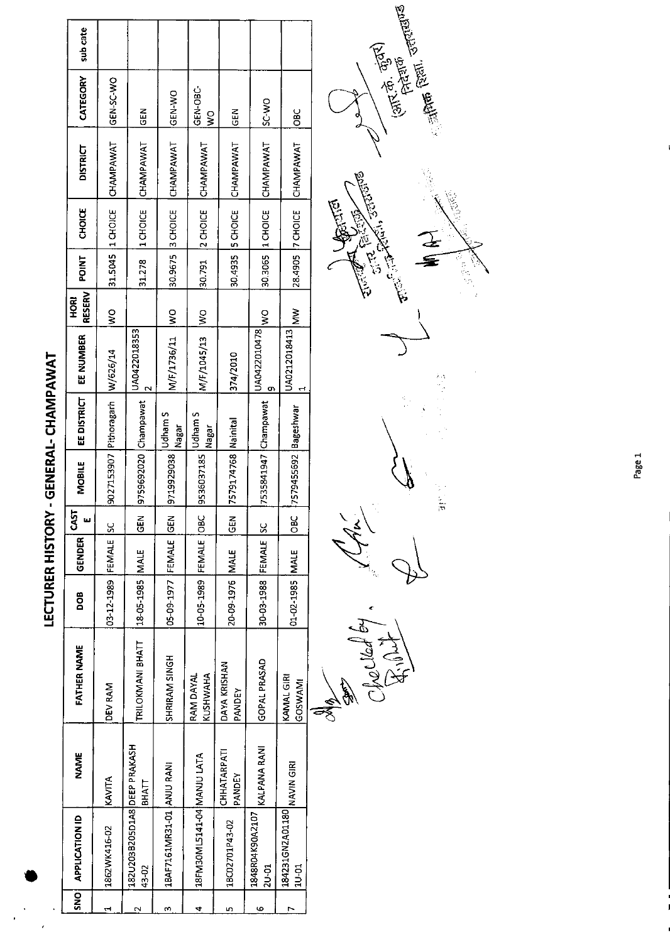| ı                              |
|--------------------------------|
| I<br>i<br>$\ddot{\phantom{a}}$ |
|                                |
| j<br>ı                         |

| SNO | <b>APPLICATION ID</b>                 | <b>NAME</b>           | FATHER NAME                  | 800                    | GENDER | ວິ            | <b>MOBILE</b>         | EE DISTRICT                     | EE NUMBER         | <b>RESERV</b><br><b>HORI</b> | <b>POINT</b> | <b>CHOICE</b>    | <b>DISTRICT</b> | CATEGORY                         | sub cate |
|-----|---------------------------------------|-----------------------|------------------------------|------------------------|--------|---------------|-----------------------|---------------------------------|-------------------|------------------------------|--------------|------------------|-----------------|----------------------------------|----------|
|     | 1862WK416-02                          | KAVITA                | DEV RAM                      | 03-12-1989 FEMALE SC   |        |               |                       | 9027153907 Pithoragarh W/626/14 |                   | $\frac{8}{2}$                |              | 31.5045 1 CHOICE | CHAMPAWAT       | GEN-SC-WO                        |          |
|     | 182U203B205D1A8 DEEP PRAKASH<br>43-02 | <b>RHATT</b>          | TRILOKMANI BHATT             | 18-05-1985 MALE        |        | <u>นี</u>     | 9759692020 Champawat  |                                 | JA0422018353      |                              | 31.278       | 1 CHOICE         | CHAMPAWAT       | GEN                              |          |
| m   | 1BAF7161MR31-01 ANJU RANI             |                       | SHRIRAM SINGH                | 05-09-1977 FEMALE GEN  |        |               | 9719929038            | Udham S<br>Nagar                | M/F/1736/11       | $\sum_{i=1}^{n}$             |              | 30.9675 3 CHOICE | CHAMPAWAT       | ON-A-NO                          |          |
|     | 18FM30ML5141-04 MANJU LATA            |                       | KUSHWAHA<br>RAM DAYAL        | 10-05-1989 FEMALE JOBC |        |               | 9536037185            | Udham S<br>Nagar                | M/F/1045/13       | $\frac{1}{2}$                | 30.791       | 2 CHOICE         | CHAMPAWAT       | GEN-OBC-<br>$\tilde{\mathbf{z}}$ |          |
|     | 1BC02701P43-02                        | CHHATARPATI<br>PANDEY | DAYA KRISHAN<br>PANDEY       | 20-09-1976 MALE        |        | M∃O           | 7579174768 Nainital   |                                 | 374/2010          |                              |              | 30.4935 5 CHOICE | CHAMPAWAT       | <b>K3D</b>                       |          |
| ဖ   | 1848R04K90A2107<br><b>2U-01</b>       | <b>KALPANA RANI</b>   | GOPAL PRASAD                 | 30-03-1988 FEMALE SC   |        |               | 7535841947 Champawat  |                                 | JA0422010478<br>σ | $\frac{8}{5}$                | 30.3065      | 1 CHOICE         | CHAMPAWAT       | ON JS                            |          |
|     | 184231GN2A01180<br>$10 - 01$          | <b>NAVIN GIRI</b>     | KAMAL GIRI<br><b>GOSWAMI</b> | 01-02-1985 MALE        |        | $\frac{8}{2}$ | 17579455692 Bageshwar |                                 | UA0212018413      | š<br>Š                       |              | 28.4905 7 CHOICE | CHAMPAWAT       | $rac{C}{C}$                      |          |
|     |                                       |                       |                              |                        |        |               |                       |                                 |                   |                              |              |                  |                 |                                  |          |



₹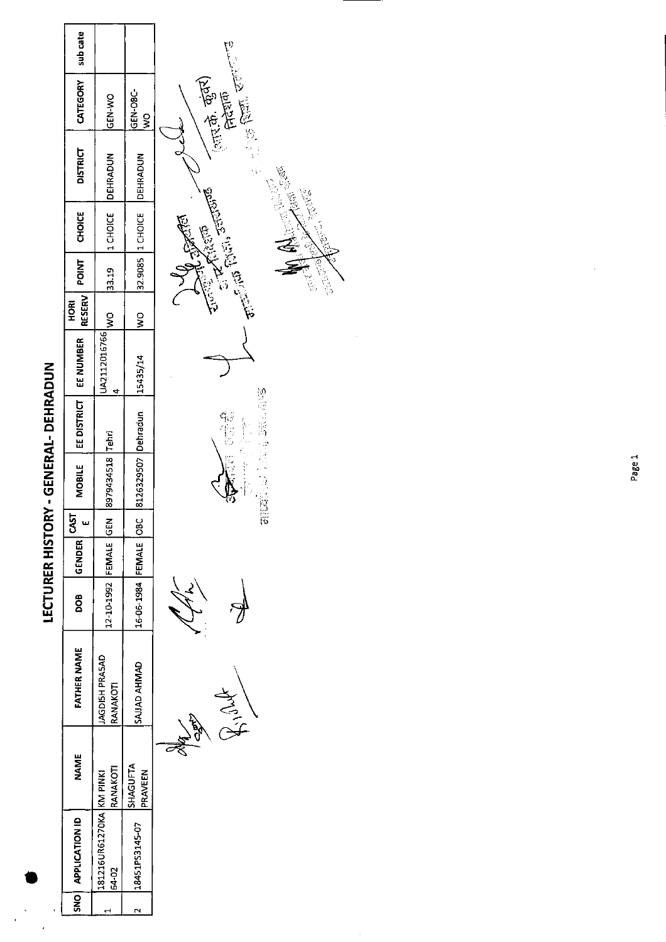| ֖֖֖֢ׅ֧֚֚֚֚֚֚֚֚֚֚֚֚֚֚֚֬֓֡֡֡֡֡֬֝֬֝֬֝֬֝֬֝֓֝ |
|------------------------------------------|
|                                          |
|                                          |
|                                          |
| i                                        |
|                                          |
|                                          |
|                                          |
|                                          |
|                                          |
|                                          |
| j<br>J                                   |
| j                                        |
|                                          |
|                                          |
|                                          |
|                                          |
|                                          |
|                                          |
|                                          |
|                                          |
|                                          |
|                                          |
|                                          |
| j                                        |
|                                          |
|                                          |
|                                          |
|                                          |
|                                          |
|                                          |
|                                          |

|   |                    |                                      |                                          | <b>LECTURER HISTOI</b> |               |               | RY - GENERAL- DEHRADUN |                              |                         |             |                       |                           |                       |  |
|---|--------------------|--------------------------------------|------------------------------------------|------------------------|---------------|---------------|------------------------|------------------------------|-------------------------|-------------|-----------------------|---------------------------|-----------------------|--|
|   | SNO APPLICATION ID | <b>NAME</b>                          | <b>FATHER NAME</b>                       | 80                     | <b>GENDER</b> | $\frac{1}{2}$ | <b>MOBILE</b>          |                              | EE DISTRICT   EE NUMBER | <b>ECH</b>  | RESERV POINT   CHOICE | <b>DISTRICT</b>           | CATEGORY   sub cate   |  |
|   | 64-02              | RANAKOTI<br>181216UR61270KA KM PINKI | <b>JAGDISH PRASAD</b><br><b>RANAKOTI</b> | 12-10-1992 FEMALE GEN  |               |               | 8979434518 Tehri       |                              | UA2112016766 WO         |             |                       | 33.19 1 CHOICE DEHRADUN   | <b>CEN-WO</b>         |  |
| r | 18451PS3145-07     | <b>ISHAGUFTA</b><br>PRAVEEN          | SAUAD AHMAD                              | 16-06-1984 FEMALE OBC  |               |               |                        | 8126329507 Dehradun 15435/14 |                         | $rac{1}{2}$ |                       | 32.9085 1 CHOICE DEHRADUN | <b>IGEN-OBC-</b><br>ş |  |
|   |                    |                                      |                                          |                        |               |               |                        |                              |                         |             |                       |                           |                       |  |



Ally 1

 $\bar{\mathcal{A}}$ 

 $\frac{1}{\sqrt{2}}\int_{0}^{\sqrt{2}}\frac{1}{\sqrt{2}}\int_{0}^{\sqrt{2}}\frac{1}{\sqrt{2}}\int_{0}^{\sqrt{2}}\frac{1}{\sqrt{2}}\int_{0}^{\sqrt{2}}\frac{1}{\sqrt{2}}\int_{0}^{\sqrt{2}}\frac{1}{\sqrt{2}}\int_{0}^{\sqrt{2}}\frac{1}{\sqrt{2}}\int_{0}^{\sqrt{2}}\frac{1}{\sqrt{2}}\int_{0}^{\sqrt{2}}\frac{1}{\sqrt{2}}\int_{0}^{\sqrt{2}}\frac{1}{\sqrt{2}}\int_{0}^{\sqrt{2}}\frac{1}{\sqrt{2}}$ **CALL** 

 $\int_{0}^{\infty}$ 

्लार के कुंतर)<br>सिरेशक

دينې<br>ف

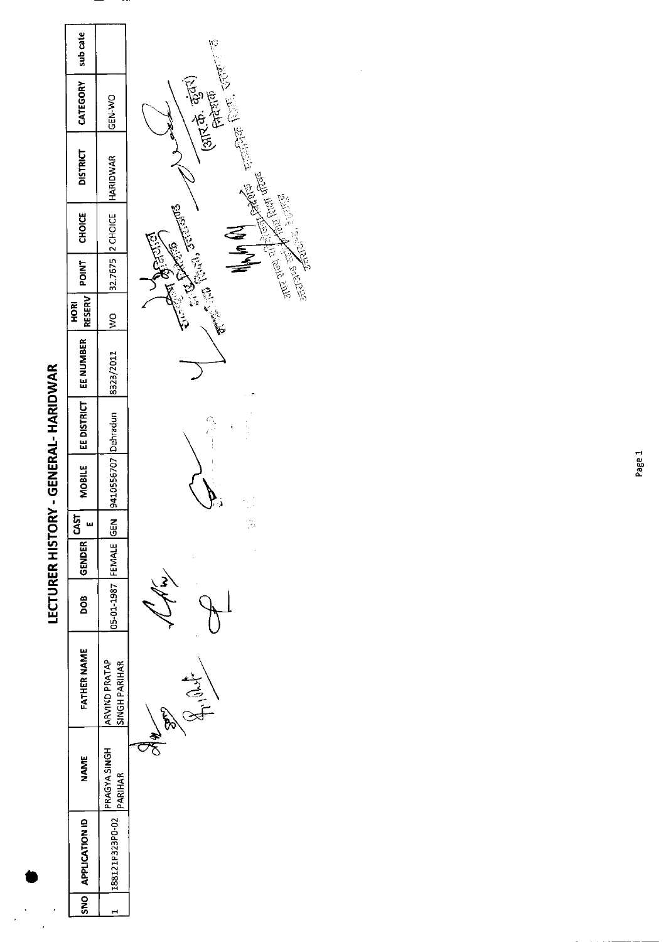## LECTURER HISTORY - GENERAL- HARIDWAR

| sub cate           |                                       |                                             |
|--------------------|---------------------------------------|---------------------------------------------|
| CATEGORY           | GEN-WO                                |                                             |
| <b>DISTRICT</b>    | <b>HARIDWAR</b>                       | (SITR-15, EERIE)<br>Maria Francisco Carrier |
| <b>CHOICE</b>      | 32.7675 2 CHOICE                      |                                             |
| RESERV POINT       |                                       |                                             |
| <b>ROK</b>         | ş                                     |                                             |
| EE NUMBER          | 8323/2011                             | <b>CONTROLLER BEEFING</b>                   |
| EE DISTRICT        |                                       |                                             |
| MOBILE             | 9410556707 Dehradun                   |                                             |
| 5<br>రే            |                                       |                                             |
| <b>GENDER</b>      |                                       |                                             |
| DOB                | 05-01-1987 FEMALE GEN                 |                                             |
| <b>FATHER NAME</b> | <b>ARVIND PRATAP</b><br>SINGH PARIHAR | ليدن<br>كأن<br>المجم<br>j)<br>D             |
| NAME               | PRAGYA SINGH<br>PARIHAR               |                                             |
| SNO APPLICATION ID | 188121P323P0-02                       |                                             |
|                    |                                       |                                             |

**ASSES** 

SALES DESCRIPTION OF

**TARNES**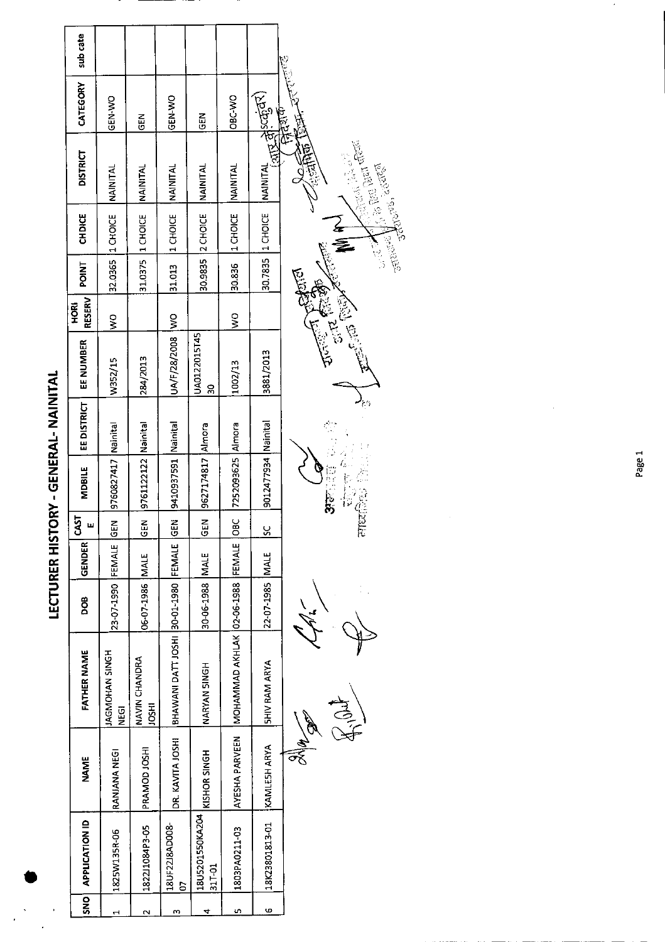| sub cate              |                                      |                               |                                      |                               |                                   |                           |                                                                                                                                                                                                                                                     |
|-----------------------|--------------------------------------|-------------------------------|--------------------------------------|-------------------------------|-----------------------------------|---------------------------|-----------------------------------------------------------------------------------------------------------------------------------------------------------------------------------------------------------------------------------------------------|
| CATEGORY              | <b>OR NJS</b>                        | $\tilde{a}$                   | GEN-WO                               | $\frac{2}{9}$                 | OBC-WO                            | <b>Expertised Company</b> | विदेशक                                                                                                                                                                                                                                              |
| <b>DISTRICT</b>       | NAINITAL                             | <b>NAINITAL</b>               | NAINITAL                             | <b>NAINITAL</b>               | NAINITAL                          | <b>NAINITAL</b>           | ( 国际)<br>and planet in the point of the control of the control of the control of the control of the control of the control of the control of the control of the control of the control of the control of the control of the control of<br>2012年1月1日 |
| <b>CHDICE</b>         | 11 CHOICE                            | 31.0375 1 CHOICE              | 1 CHOICE                             | 2 CHOICE                      | 11 CHOICE                         | 30.7835 1 CHOICE          | Jelanos, 2 cara<br>乏量                                                                                                                                                                                                                               |
| <b>TRID4</b>          | 32.0365                              |                               | 31.013                               | 30.9835                       | 30.836                            |                           |                                                                                                                                                                                                                                                     |
| RESERV<br><b>HORI</b> | š                                    |                               |                                      |                               | š                                 |                           |                                                                                                                                                                                                                                                     |
| EE NUMBER             | W352/15                              | 284/2013                      | UA/F/28/2008 WO                      | UA0122015T45<br>$\frac{8}{2}$ | 1002/13                           | 3881/2013                 | From Control 1                                                                                                                                                                                                                                      |
| <b>EE DISTRICT</b>    |                                      |                               | Nainital                             | Almora                        |                                   |                           |                                                                                                                                                                                                                                                     |
| <b>MDBILE</b>         | 9760827417 Nainital                  | 9761122122 Nainital           | 9410937591                           | 9627174817                    | 7252093625 Almora                 | 9012477934   Nainital     | 金石                                                                                                                                                                                                                                                  |
| S<br>ш                | $rac{2}{9}$                          | GEN                           | <b>SEN</b>                           | <b>SEN</b>                    | <b>Dac</b>                        | SC                        | is.<br>K                                                                                                                                                                                                                                            |
| GENDER                | FEMALE                               |                               |                                      |                               |                                   |                           |                                                                                                                                                                                                                                                     |
| <b>BOO</b>            | 23-07-1990                           | 06-07-1986 MALE               |                                      | 30-06-1988 MALE               |                                   | 22-07-1985 MALE           |                                                                                                                                                                                                                                                     |
| FATHER NAME           | <b>JAGMOHAN SINGH</b><br><b>NEGI</b> | NAVIN CHANDRA<br><b>INSOF</b> | BHAWANI DATT JOSHI 30-01-1980 FEMALE | NARYAN SINGH                  | MOHAMMAD AKHLAK 02-06-1988 FEMALE | <b>SHIV RAM ARYA</b>      |                                                                                                                                                                                                                                                     |
| <b>NAME</b>           | RANJANA NEGI                         | PRAMOD JOSHI                  | DR. KAVITA JOSHI                     | KISHOR SINGH                  | AYESHA PARVEEN                    | KAMLESH ARYA              |                                                                                                                                                                                                                                                     |
| <b>APPLICATION ID</b> | 1825W135R-06                         | 182211084P3-05                | 18UF2218AD008<br>S                   | 18U5201550KA204<br>317-01     | 1803PA0211-03                     | 18K23801813-01            |                                                                                                                                                                                                                                                     |
| SNO                   | ᆏ                                    | $\mathbf{\tilde{c}}$          | m                                    | 4                             | m                                 | S.                        |                                                                                                                                                                                                                                                     |

LECTURER HISTORY - GENERAL- NAINITAL

 $\ddot{\phantom{a}}$ 

Page 1

l,

 $\overline{\phantom{a}}$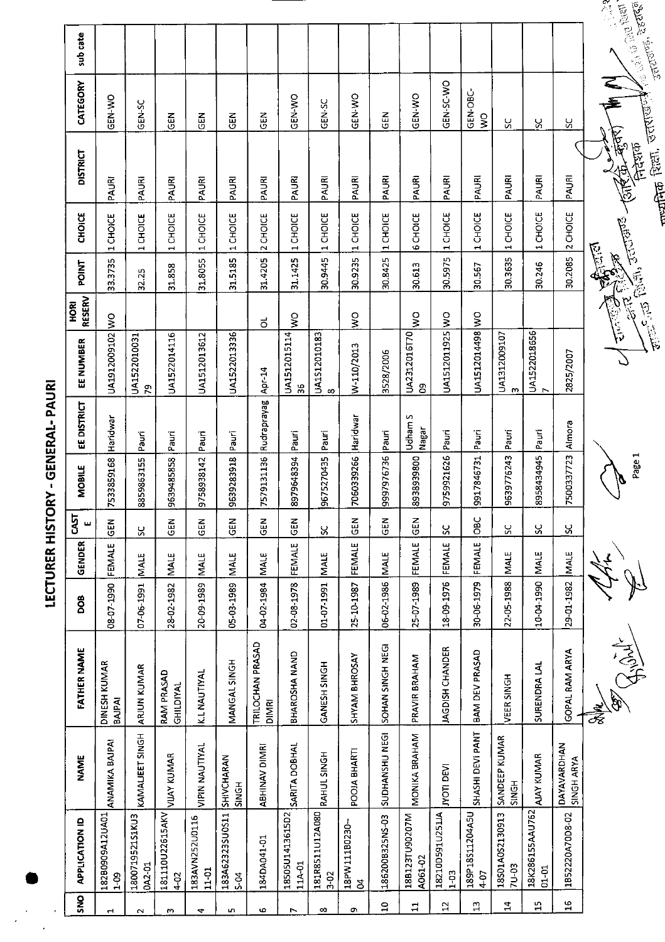| l      |
|--------|
|        |
|        |
|        |
|        |
|        |
|        |
| Ĺ      |
|        |
|        |
|        |
| l      |
|        |
|        |
|        |
|        |
|        |
|        |
|        |
|        |
| ï      |
|        |
|        |
| l<br>l |
|        |
|        |

|                       |                                      |                            |                                    |                             |                                        |                                  |                               |                                 |                               |                  |                           |                             |                                   |                               |                              |                           | ing<br>Sila                                                                                                                                                                                                                                                              |
|-----------------------|--------------------------------------|----------------------------|------------------------------------|-----------------------------|----------------------------------------|----------------------------------|-------------------------------|---------------------------------|-------------------------------|------------------|---------------------------|-----------------------------|-----------------------------------|-------------------------------|------------------------------|---------------------------|--------------------------------------------------------------------------------------------------------------------------------------------------------------------------------------------------------------------------------------------------------------------------|
| sub cate              |                                      |                            |                                    |                             |                                        |                                  |                               |                                 |                               |                  |                           |                             |                                   |                               |                              |                           | <b>Alle Sales Card Parts</b><br>उत्तराण <sup>ड़,</sup> देहराष्ट्री                                                                                                                                                                                                       |
| CATEGORY              | GEN-WO                               | GEN-SC                     | $rac{z}{\sigma}$                   | GEN                         | اناع<br>G                              | <b>GEN</b>                       | GEN-WO                        | GEN-SC                          | GEN-WO                        | <b>GEN</b>       | <b>GEN-WO</b>             | GEN-SC-WO                   | GEN-OBC-<br>$\mathop{\mathsf{S}}$ | ပ္ပ                           | ပ္တ                          | χ                         | €                                                                                                                                                                                                                                                                        |
| <b>DISTRICT</b>       | PAURI                                | PAURI                      | PAURI                              | PAURI                       | PAURI                                  | PAURI                            | PAURI                         | PAURI                           | PAURI                         | PAURI            | PAURI                     | PAURI                       | PAURI                             | PAURI                         | PAURI                        | PAURI                     | <b>The Principal Edge</b><br>From Principal Edge<br>From Principal Principal Principal Principal Principal Principal Principal Principal Principal Principal Principal Principal Principal Principal Principal Principal Principal Princi<br><b>STRID FORT</b><br>निदेशक |
| CHOICE                | 1 CHOICE                             | 1 CHOICE                   | CHOICE<br>$\overline{\phantom{0}}$ | CHOICE<br>$\mathbf{r}$      | CHOICE<br>$\mathbf{r}$                 | CHOICE<br>$\sim$                 | 1 CHOICE                      | <b>CHOICE</b><br>$\blacksquare$ | 1 CHOICE                      | 1 CHOICE         | CHOICE<br>Ġ               | 1 CHOICE                    | CHOICE<br>$\blacksquare$          | CHOICE<br>$\rightarrow$       | CHOICE<br>$\rightarrow$      | 2 CHOICE                  | $\frac{1}{2\pi}$ ( $\frac{1}{100}$ ( $\frac{1}{100}$ ( $\frac{1}{100}$ $\frac{1}{100}$ $\frac{1}{100}$ $\frac{1}{100}$                                                                                                                                                   |
| <b>POINT</b>          | 33.3735                              | 32.25                      | 31.858                             | 31.8055                     | 31.5185                                | 31.4205                          | 31.1425                       | 30.9445                         | 30.9235                       | 30.8425          | 30.613                    | 30.5975                     | 30.567                            | 30.3635                       | 30.246                       | 30.2085                   | A MARIA                                                                                                                                                                                                                                                                  |
| RESERV<br><b>ROH</b>  |                                      |                            |                                    |                             |                                        | ಕ                                | ş                             |                                 | $\sum_{i=1}^{n}$              |                  | S                         |                             |                                   |                               |                              |                           |                                                                                                                                                                                                                                                                          |
| EE NUMBER             | UA1912009102 WO                      | UA1522010031<br>29         | UA1522014116                       | UA1512013612                | UA1522013336                           | Apr-14                           | UA1512015114<br>$\frac{6}{2}$ | UA1512010183<br>$\infty$        | W-110/2013                    | 3528/2006        | UA2312016T70<br>g         | UA1512011925 WO             | UA1512014498 WO                   | UA1312009107<br>$\sim$        | UA1522018656                 | 2825/2007                 |                                                                                                                                                                                                                                                                          |
| EE DISTRICT           | Haridwar                             | Pauri                      | Pauri                              | Pauri                       | Pauri                                  | Rudraprayag                      | Pauri                         | Pauri                           | Haridwar                      | Pauri            | <b>Udham</b> S<br>Nagar   | Pauri                       | Pauri                             | Pauri                         | Pauri                        | Almora                    |                                                                                                                                                                                                                                                                          |
| <b>MOBILE</b>         | 533859168<br>r                       | 8859863155                 | 639485858<br>თ,                    | 9758938142                  | 9639283918                             | 579131136<br>↖                   | 8979648394                    | 9675270435                      | 7060339266                    | 997976736        | 8938939800                | 9759921626                  | 9917846731                        | 9639776243                    | 8958434945                   | 7500337723                | Page 1                                                                                                                                                                                                                                                                   |
| <b>CAST</b><br>ш      | $\tilde{E}$                          | ပ္တ                        | $rac{1}{\sqrt{2}}$                 | GEN                         | <b>GEN</b>                             | <b>GEN</b>                       | <b>GEN</b>                    | X                               | <b>GEN</b>                    | $\overline{G}$   | $\tilde{E}$               | ပ္တ                         | OBC                               | ႕                             | ပ္တ                          | Χ                         |                                                                                                                                                                                                                                                                          |
| GENDER                | FEMALE                               | <b>MALE</b>                | MALE                               | MALE                        | MALE                                   | MALE                             | FEMALE                        | <b>MALE</b>                     | FEMALE                        | <b>MALE</b>      | FEMALE                    | FEMALE                      | FEMALE                            | <b>MALE</b>                   | <b>MALE</b>                  | <b>MALE</b>               |                                                                                                                                                                                                                                                                          |
| 800                   | 08-07-1990                           | 07-06-1991                 | 28-02-1982                         | 20-09-1989                  | 05-03-1989                             | 04-02-1984                       | 02-08-1978                    | 01-07-1991                      | 25-10-1987                    | 06-02-1986       | 25-07-1989                | 18-09-1976                  | 30-06-1979                        | 22-05-1988                    | 10-04-1990                   | 29-01-1982                |                                                                                                                                                                                                                                                                          |
| FATHER NAME           | <b>DINESH KUMAR</b><br><b>BAJPAI</b> | ARJUN KUMAR                | RAM PRASAD<br><b>GHILDIYAL</b>     | K.L. NAUTIYAL               | MANGAL SINGH                           | TRILOCHAN PRASAD<br><b>DIMRI</b> | <b>BHAROSHA NAND</b>          | GANESH SINGH                    | <b>SHYAM BHROSAY</b>          | SOHAN SINGH NEGI | PRAVIR BRAHAM             | JAGDISH CHANDER             | <b>BAM DEV PRASAD</b>             | <b>VEER SINGH</b>             | SURENDRA LAL                 | <b>GOPAL RAM ARYA</b>     | Article                                                                                                                                                                                                                                                                  |
| <b>NAME</b>           | ANAMIKA BAJPAI                       | KAMALIEET SINGH            | <b>VIJAY KUMAR</b>                 | VIPIN NAUTIYAL              | SINGH                                  | ABHINAV DIMRI                    | SARITA DOBHAL                 | RAHUL SINGH                     | POOJA BHARTI                  | SUDHANSHU NEGI   | MONIKA BRAHAM             | <b>IVOTI DEVI</b>           | SHASHI DEVI PANT                  | SANDEEP KUMAR<br><b>SINGH</b> | AJAY KUMAR                   | DAYAVARDHAN<br>SINGH ARYA |                                                                                                                                                                                                                                                                          |
| <b>APPLICATION ID</b> | 182B0909A12UA01<br>$1 - 09$          | 1800719521S1KU3<br>0.42 01 | 181110U22615AKV<br>$4-02$          | 183AVN252U0116<br>$11 - 01$ | 183A62323SU0S11 SHIVCHARAN<br>$5 - 24$ | 184DA041-01                      | 18505U1413615D2<br>11A-01     | 181R8511U12A080<br>$3-02$       | 18PW111B0230-<br>$\mathsf{a}$ | 186200B325NS-03  | 18B123TU90207M<br>A061-02 | 18210D591U251JA<br>$1 - 03$ | 189P18S11204A5U<br>4-07           | 18501A052130913<br>7U-03      | 18K286155AAU762<br>$01 - 01$ | 1B52220A70D8-02           |                                                                                                                                                                                                                                                                          |
| $\frac{1}{2}$         | Н                                    | $\sim$                     | m                                  | 4                           | m                                      | Φ                                | r                             | $\infty$                        | o,                            | $\mathbf{c}$     | $\Xi$                     | $\overline{12}$             | $\mathbf{a}$                      | 24                            | $\frac{15}{2}$               | 16                        |                                                                                                                                                                                                                                                                          |

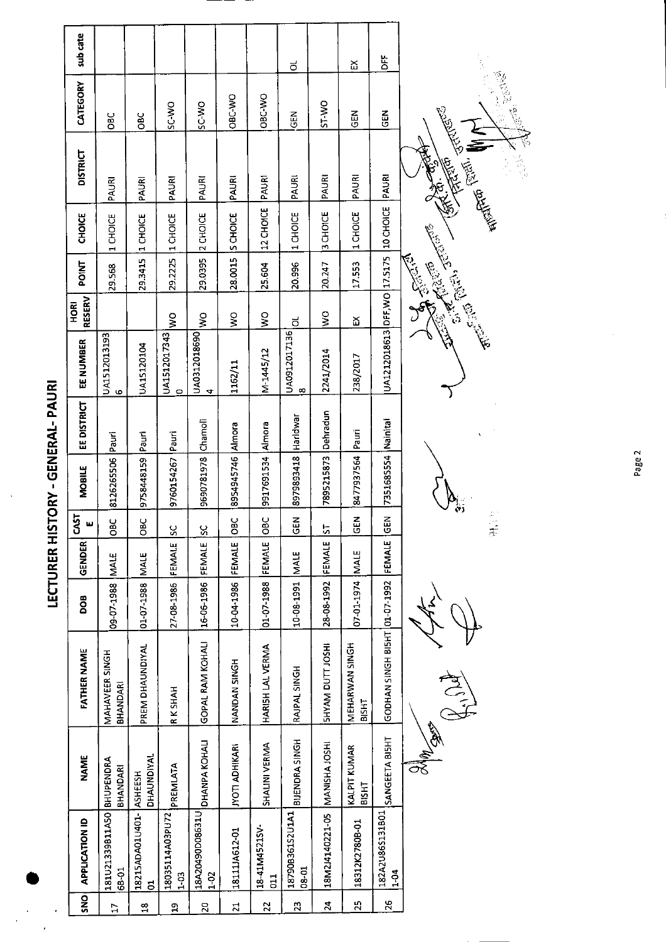| <b>ONS</b>      | <b>APPLICATION ID</b>              | <b>NAME</b>                         | FATHER NAME                    | DOB             | <b>GENDER</b> | CAST<br>ш     | <b>MOBILE</b>       | EE DISTRICT | EE NUMBER                              | <b>RESERV</b><br>HORI     | <b>POINT</b> | <b>CHOICE</b>              | <b>DISTRICT</b>                                                                                                                                                                                                                        | CATEGORY     | sub cate |
|-----------------|------------------------------------|-------------------------------------|--------------------------------|-----------------|---------------|---------------|---------------------|-------------|----------------------------------------|---------------------------|--------------|----------------------------|----------------------------------------------------------------------------------------------------------------------------------------------------------------------------------------------------------------------------------------|--------------|----------|
| H               | 181U21339B11A50 BHUPENDRA<br>68-01 | BHANDARI                            | MAHAVEER SINGH<br>BHANDARI     | 09-07-1988      | <b>MALE</b>   | ăO            | 8126265506 Pauri    |             | UA1512013193<br>Ю                      |                           | 29.568       | 1 CHOICE                   | PAURI                                                                                                                                                                                                                                  | <b>DEC</b>   |          |
| $\frac{8}{16}$  | 18215ADA01U401-ASHEESH<br>ន        | DHAUNDIYAL                          | PREM DHAUNDIYAL                | 01-07-1988      | <b>MALE</b>   | OBC           | 9758448159          | Pauri       | UA15120104                             |                           | 29.3415      | 1 CHOICE                   | PAURI                                                                                                                                                                                                                                  | ă            |          |
| $\frac{9}{1}$   | 18035114A03PU72<br>$1-03$          | PREMIATA                            | <b>RKSHAH</b>                  | 27-08-1986      | FEMALE        | $\frac{0}{2}$ | 9760154267 Pauri    |             | UA1512017343<br>0                      | $\frac{1}{2}$             | 29.2225      | 1 CHOICE                   | PAURI                                                                                                                                                                                                                                  | <b>OW-JS</b> |          |
| $\overline{20}$ | 18A20490D08631U<br>$1 - 02$        | DHANPA KOHALI                       | <b>GOPAL RAM KOHALI</b>        | 16-06-1986      | FEMALE        | $\frac{5}{2}$ | 9690781978          | Chamoli     | UA0312018690<br>4                      | $\mathsf{S}^{\mathsf{O}}$ | 29.0395      | 2 CHOICE                   | PAURI                                                                                                                                                                                                                                  | OW-25        |          |
| $\mathbf{z}$    | 18111JA612-01                      | <b>JYOTI ADHIKARI</b>               | NANDAN SINGH                   | 10-04-1986      | FEMALE        | OBC           | 8954945746          | Almora      | 1162/11                                | Ş                         | 28.0015      | <b>SCHOICE</b>             | PAURI                                                                                                                                                                                                                                  | OBC-WO       |          |
| 22              | 18-41M4521SV-<br>$\overline{a}$    | SHALINI VERMA                       | HARISH LAL VERMA               | 01-07-1988      | FEMALE        | OBC           | 9917691534 Almora   |             | M-1445/12                              | Ş                         | 25.604       | 12 CHOICE                  | PAURI                                                                                                                                                                                                                                  | OBC-WO       |          |
| 23              | 18790B361S2U1A1<br>08-01           | BUENDRA SINGH                       | RAJPAL SINGH                   | 10-08-1991 MALE |               | <b>GEN</b>    | 8979893418 Haridwar |             | UA0912017136<br>8                      | $\overline{O}$            | 20996        | 1 CHOICE                   | PAURI                                                                                                                                                                                                                                  | M30          | ಠ        |
| $\mathbf{z}$    | 18M2J4140221-05                    | MANISHA JOSHI                       | SHYAM DUTT JOSHI               | 28-08-1992      | FEMALE        | 5             | 7895215873          | Dehradun    | 2241/2014                              | Ş                         | 20.247       | 3 CHOICE                   | PAURI                                                                                                                                                                                                                                  | ST-WO        |          |
| 25              | 18312K2780B-01                     | <b>KALPIT KUMAR</b><br><b>BISHT</b> | MEHARWAN SINGH<br><b>BISHT</b> | 0701-1974       | <b>INALE</b>  | $\tilde{5}$   | 8477937564          | Pauri       | 238/2017                               | Σ                         | 17553        | 1 CHOICE                   | PAURI                                                                                                                                                                                                                                  | ER<br>5      | 낒        |
| 26              | 182A2U865131B01<br>$1 - 04$        | SANGEETA BISHT                      | GODHAN SINGH BISHT 01-07-1992  |                 | FEMALE        | <b>CEN</b>    | 7351685554 Nainital |             | UA1212018613 DFF, WO 17.5175 10 CHOICE |                           |              |                            | PAURI                                                                                                                                                                                                                                  | こと<br>この     | Ĕ        |
|                 |                                    |                                     |                                |                 |               |               |                     |             |                                        |                           |              | <b>CONTRACTORY SECTION</b> | <b>REAT REAT REAT</b>                                                                                                                                                                                                                  |              |          |
|                 |                                    |                                     | His site                       |                 |               |               |                     |             |                                        |                           |              |                            | <b>2019 1929 Page 100 Page 100 Page 100 Page 100 Page 100 Page 100 Page 100 Page 100 Page 100 Page 100 Page 100 P</b><br>Page 100 Page 100 Page 100 Page 100 Page 100 Page 100 Page 100 Page 100 Page 100 Page 100 Page 100 Page 100 P |              |          |
|                 |                                    |                                     |                                |                 |               |               |                     |             |                                        |                           |              |                            |                                                                                                                                                                                                                                        |              |          |

LECTURER HISTORY - GENERAL- PAURI

 $\ddot{\phantom{0}}$ 

 $\overline{a}$ 

 $\cdot$ 

 $\ddot{\phantom{0}}$ 

Page 2

 $\equiv$ 

रे<br>ब्र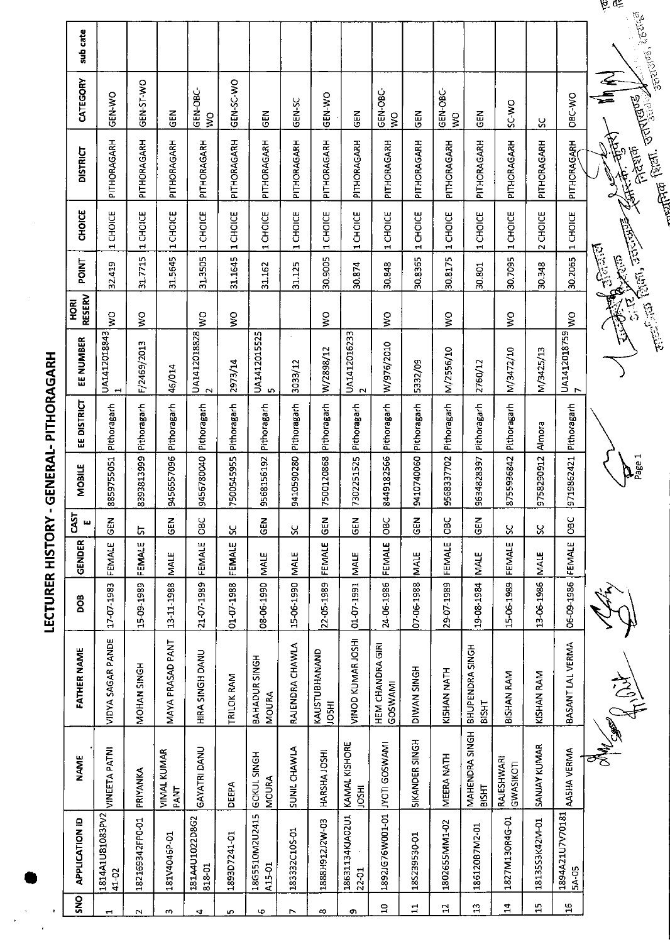| उत्तराण्ड, देहराध् <sup>त</sup><br>≤<br>GEN-ST-WO<br>GEN-SC-WO<br>GEN-OBC-<br>GEN-OBC-<br>GEN-OBC-<br>€<br>GEN-WO<br>OBC-WO<br>GEN-WO<br><b>Contractor</b><br>GEN-SC<br>SC-WO<br><b>AB</b><br><b>GEN</b><br>GEN<br>GEN<br><b>GEN</b><br>$\mathsf{S}^{\mathsf{O}}$<br>$\mathbf{S}$<br>$\mathsf{S}^{\mathsf{O}}$<br>X<br>PITHORAGARH<br>PITHORAGARH<br>PITHORAGARH<br>PITHORAGARH<br>PITHORAGARH<br>PITHORAGARH<br>PITHORAGARH<br>PITHORAGARH<br>PITHORAGARH<br>PITHORAGARH<br>PITHORAGARH<br>PITHORAGARH<br>PITHORAGARH<br>PITHORAGARH<br>PITHORAGARH<br>PITHORAGARH<br>ļچ<br>ا<br><b>BASED</b><br><b>The Little Scient .</b><br>Kalik di.<br><b>CHOICE</b><br>1 CHOICE<br>CHOICE<br>CHOICE<br>1 CHOICE<br>CHOICE<br><b>CHOICE</b><br>CHOICE<br>CHOICE<br>1 CHOICE<br><b>CHOICE</b><br>CHOICE<br>CHOICE<br>CHOICE<br>CHOICE<br>1 CHOICE<br><b>Court, and Difference</b><br>$\mathbf{H}$<br>$\blacksquare$<br>$\mathbf{r}$<br>$\blacksquare$<br>$\blacksquare$<br>$\blacksquare$<br>$\sim$<br>H<br>1<br>$\mathbf{H}$<br>$\overline{\phantom{a}}$<br>$\mathbf{H}$<br><b>CONSTRUCTION</b><br>31.5645<br>31,3505<br>31.1645<br>30.2065<br>31.7715<br>30.9005<br>30.8365<br>30.8175<br>30.7095<br>32.419<br>31.125<br>30.874<br>30.848<br>30.348<br>31.162<br>30.801<br><b>Collage</b><br>ş<br>$\mathsf{S}$<br>$\mathsf{S}^{\mathsf{O}}$<br>$\mathsf{S}^{\mathsf{O}}$<br>$\mathsf{S}^{\mathsf{O}}$<br>$\mathsf{S}^{\mathsf{O}}$<br>$\mathsf{S}^{\mathsf{O}}$<br>ş<br>ş<br>$\left  \begin{array}{c} \mathtt{UA112018828} \end{array} \right _2$<br>$\begin{array}{c} \begin{array}{c} \begin{array}{c} \end{array} \\ \begin{array}{c} \end{array} \\ \begin{array}{c} \end{array} \end{array} \end{array}$<br>$\left  \frac{\text{UAA12018843}}{1} \right $<br>UA1412015525<br>UA1412016233<br>2<br>F/2469/2013<br>W/976/2010<br>W/2898/12<br>M/2556/10<br>M/3472/10<br>M/3425/13<br>5332/09<br>2973/14<br>3033/12<br>2760/12<br>46/014<br><b>LC</b><br>Pithoragarh<br>Pithoragarh<br>Pithoragarh<br>Pithoragarh<br>Pithoragarh<br>Pithoragarh<br>Pithoragarh<br>Pithoragarh<br>Pithoragarh<br>Pithoragarh<br>Pithoragarh<br>Pithoragarh<br>Pithoragarh<br>Pithoragarh<br>Pithoragarh<br>Almora<br>9456557096<br>9410590280<br>9410740060<br>8449182566<br>8393813999<br>9456780040<br>9758290912<br>9719862421<br>Page 1<br>7500545955<br>7500120868<br>9568337702<br>8755936842<br>9568156192<br>7302251525<br>9634828397<br>8859755051<br>OBC<br><b>GEN</b><br><b>OBC</b><br>OBC<br>GEN<br>GEN<br><b>OBC</b><br><b>GEN</b><br>$rac{z}{G}$<br>GEN<br>EN<br>9<br>ჯ<br>ပ္တ<br>ပ္တ<br>ပ္တ<br>৮<br><b>FEMALE</b><br>FEMALE<br>FEMALE<br><b>FEMALE</b><br>FEMALE<br>FEMALE<br>FEMALE<br>FEMALE<br>FEMALE<br><b>NALE</b><br><b>MALE</b><br><b>MALE</b><br><b>MALE</b><br><b>NALE</b><br><b>MALE</b><br><b>MALE</b><br>15-06-1990<br>24-06-1986<br>07-06-1988<br>13-06-1986<br>06-09-1986<br>13-11-1988<br>21-07-1989<br>08-06-1990<br>22-05-1989<br>15-06-1989<br>29-07-1989<br>01-07-1988<br>19-08-1984<br>17-07-1983<br>15-09-1989<br>01.07.1991<br>VIDYA SAGAR PANDE<br><b>VINOD KUMAR JOSHI</b><br>MAYA PRASAD PANT<br>RAJENDRA CHAWLA<br>BASANT LAL VERMA<br>HEM CHANDRA GIRI<br>BHUPENDRA SINGH<br>KAUSTUBHANAND<br>HIRA SINGH DANU<br>BAHADUR SINGH<br>MOHAN SINGH<br>DIVAN SINGH<br>KISHAN NATH<br>New Road My<br>KISHAN RAM<br><b>BISHAN RAM</b><br>TRILOK RAM<br>GOSWAMI<br>MOURA<br><b>BISHT</b><br><b>IHSOL</b><br>MAHENDRA SINGH<br><b>SIKANDER SINGH</b><br><b>INQTI GOSWAMI</b><br>KAMAL KISHORE<br>SANJAY KUMAR<br>SUNIL CHAWLA<br><b>GAYATRI DANU</b><br><b>VINEETA PATNI</b><br>AA5HA VERMA<br>VIMAL KUMAR<br>HARSHA JOSHI<br>GOKUL SINGH<br>MEERA NATH<br>RAJESHWARI<br>GWASIKOTI<br>PRIYANKA<br>MOURA<br>DEEPA<br><b>IRSOL</b><br><b>BISHT</b><br>PANT<br>1892JG76W001-01<br>1894A21U7V70181<br>1814A1UB1083PV2<br>18631134KJA02U1<br>18G5510M2U2415<br>181A4U1022D8G2<br>1827M130R4G-01<br>18135S3K42M-01<br>182169342FP0-01<br>1888H912J2W-03<br>1802655MM1-02<br>18612087M2-01<br>183332C10S-01<br>1893D7241-01<br>181V4046P-01<br>185239530-01<br>A15-01<br>818-01<br>54-05<br>22-01<br>41-02<br>$\mathbb{Z}$<br>$\mathbf{r}$<br>$\mathfrak{a}$<br>$\Xi$<br>$\Xi$<br>$\mathbf{r}$<br>$\mathbf{r}$<br>Ю<br>œ<br>o,<br>w<br>n,<br>$\mathbf{\mathbf{\mathsf{H}}}$<br>$\sim$<br>4<br>$\overline{ }$ | š | <b>APPLICATION ID</b> | <b>NAME</b> | FATHER NAME | <b>800</b> | GENDER | <b>CAST</b><br>ш | MOBILE | EE DISTRICT | EE NUMBER | <b>RESERV</b><br>HORI | POINT | CHOICE | <b>DISTRICT</b> | CATEGORY | sub cate |
|---------------------------------------------------------------------------------------------------------------------------------------------------------------------------------------------------------------------------------------------------------------------------------------------------------------------------------------------------------------------------------------------------------------------------------------------------------------------------------------------------------------------------------------------------------------------------------------------------------------------------------------------------------------------------------------------------------------------------------------------------------------------------------------------------------------------------------------------------------------------------------------------------------------------------------------------------------------------------------------------------------------------------------------------------------------------------------------------------------------------------------------------------------------------------------------------------------------------------------------------------------------------------------------------------------------------------------------------------------------------------------------------------------------------------------------------------------------------------------------------------------------------------------------------------------------------------------------------------------------------------------------------------------------------------------------------------------------------------------------------------------------------------------------------------------------------------------------------------------------------------------------------------------------------------------------------------------------------------------------------------------------------------------------------------------------------------------------------------------------------------------------------------------------------------------------------------------------------------------------------------------------------------------------------------------------------------------------------------------------------------------------------------------------------------------------------------------------------------------------------------------------------------------------------------------------------------------------------------------------------------------------------------------------------------------------------------------------------------------------------------------------------------------------------------------------------------------------------------------------------------------------------------------------------------------------------------------------------------------------------------------------------------------------------------------------------------------------------------------------------------------------------------------------------------------------------------------------------------------------------------------------------------------------------------------------------------------------------------------------------------------------------------------------------------------------------------------------------------------------------------------------------------------------------------------------------------------------------------------------------------------------------------------------------------------------------------------------------------------------------------------------------------------------------------------------------------------------------------------------------------------------------------------------------------------------------------------------------------------------------------------------------------------------------------------------------------------------------------------------------------------------------------------------------------------------------------------------------------------------------------------------------------------------------------------------|---|-----------------------|-------------|-------------|------------|--------|------------------|--------|-------------|-----------|-----------------------|-------|--------|-----------------|----------|----------|
|                                                                                                                                                                                                                                                                                                                                                                                                                                                                                                                                                                                                                                                                                                                                                                                                                                                                                                                                                                                                                                                                                                                                                                                                                                                                                                                                                                                                                                                                                                                                                                                                                                                                                                                                                                                                                                                                                                                                                                                                                                                                                                                                                                                                                                                                                                                                                                                                                                                                                                                                                                                                                                                                                                                                                                                                                                                                                                                                                                                                                                                                                                                                                                                                                                                                                                                                                                                                                                                                                                                                                                                                                                                                                                                                                                                                                                                                                                                                                                                                                                                                                                                                                                                                                                                                                                               |   |                       |             |             |            |        |                  |        |             |           |                       |       |        |                 |          |          |
|                                                                                                                                                                                                                                                                                                                                                                                                                                                                                                                                                                                                                                                                                                                                                                                                                                                                                                                                                                                                                                                                                                                                                                                                                                                                                                                                                                                                                                                                                                                                                                                                                                                                                                                                                                                                                                                                                                                                                                                                                                                                                                                                                                                                                                                                                                                                                                                                                                                                                                                                                                                                                                                                                                                                                                                                                                                                                                                                                                                                                                                                                                                                                                                                                                                                                                                                                                                                                                                                                                                                                                                                                                                                                                                                                                                                                                                                                                                                                                                                                                                                                                                                                                                                                                                                                                               |   |                       |             |             |            |        |                  |        |             |           |                       |       |        |                 |          |          |
|                                                                                                                                                                                                                                                                                                                                                                                                                                                                                                                                                                                                                                                                                                                                                                                                                                                                                                                                                                                                                                                                                                                                                                                                                                                                                                                                                                                                                                                                                                                                                                                                                                                                                                                                                                                                                                                                                                                                                                                                                                                                                                                                                                                                                                                                                                                                                                                                                                                                                                                                                                                                                                                                                                                                                                                                                                                                                                                                                                                                                                                                                                                                                                                                                                                                                                                                                                                                                                                                                                                                                                                                                                                                                                                                                                                                                                                                                                                                                                                                                                                                                                                                                                                                                                                                                                               |   |                       |             |             |            |        |                  |        |             |           |                       |       |        |                 |          |          |
|                                                                                                                                                                                                                                                                                                                                                                                                                                                                                                                                                                                                                                                                                                                                                                                                                                                                                                                                                                                                                                                                                                                                                                                                                                                                                                                                                                                                                                                                                                                                                                                                                                                                                                                                                                                                                                                                                                                                                                                                                                                                                                                                                                                                                                                                                                                                                                                                                                                                                                                                                                                                                                                                                                                                                                                                                                                                                                                                                                                                                                                                                                                                                                                                                                                                                                                                                                                                                                                                                                                                                                                                                                                                                                                                                                                                                                                                                                                                                                                                                                                                                                                                                                                                                                                                                                               |   |                       |             |             |            |        |                  |        |             |           |                       |       |        |                 |          |          |
|                                                                                                                                                                                                                                                                                                                                                                                                                                                                                                                                                                                                                                                                                                                                                                                                                                                                                                                                                                                                                                                                                                                                                                                                                                                                                                                                                                                                                                                                                                                                                                                                                                                                                                                                                                                                                                                                                                                                                                                                                                                                                                                                                                                                                                                                                                                                                                                                                                                                                                                                                                                                                                                                                                                                                                                                                                                                                                                                                                                                                                                                                                                                                                                                                                                                                                                                                                                                                                                                                                                                                                                                                                                                                                                                                                                                                                                                                                                                                                                                                                                                                                                                                                                                                                                                                                               |   |                       |             |             |            |        |                  |        |             |           |                       |       |        |                 |          |          |
|                                                                                                                                                                                                                                                                                                                                                                                                                                                                                                                                                                                                                                                                                                                                                                                                                                                                                                                                                                                                                                                                                                                                                                                                                                                                                                                                                                                                                                                                                                                                                                                                                                                                                                                                                                                                                                                                                                                                                                                                                                                                                                                                                                                                                                                                                                                                                                                                                                                                                                                                                                                                                                                                                                                                                                                                                                                                                                                                                                                                                                                                                                                                                                                                                                                                                                                                                                                                                                                                                                                                                                                                                                                                                                                                                                                                                                                                                                                                                                                                                                                                                                                                                                                                                                                                                                               |   |                       |             |             |            |        |                  |        |             |           |                       |       |        |                 |          |          |
|                                                                                                                                                                                                                                                                                                                                                                                                                                                                                                                                                                                                                                                                                                                                                                                                                                                                                                                                                                                                                                                                                                                                                                                                                                                                                                                                                                                                                                                                                                                                                                                                                                                                                                                                                                                                                                                                                                                                                                                                                                                                                                                                                                                                                                                                                                                                                                                                                                                                                                                                                                                                                                                                                                                                                                                                                                                                                                                                                                                                                                                                                                                                                                                                                                                                                                                                                                                                                                                                                                                                                                                                                                                                                                                                                                                                                                                                                                                                                                                                                                                                                                                                                                                                                                                                                                               |   |                       |             |             |            |        |                  |        |             |           |                       |       |        |                 |          |          |
|                                                                                                                                                                                                                                                                                                                                                                                                                                                                                                                                                                                                                                                                                                                                                                                                                                                                                                                                                                                                                                                                                                                                                                                                                                                                                                                                                                                                                                                                                                                                                                                                                                                                                                                                                                                                                                                                                                                                                                                                                                                                                                                                                                                                                                                                                                                                                                                                                                                                                                                                                                                                                                                                                                                                                                                                                                                                                                                                                                                                                                                                                                                                                                                                                                                                                                                                                                                                                                                                                                                                                                                                                                                                                                                                                                                                                                                                                                                                                                                                                                                                                                                                                                                                                                                                                                               |   |                       |             |             |            |        |                  |        |             |           |                       |       |        |                 |          |          |
|                                                                                                                                                                                                                                                                                                                                                                                                                                                                                                                                                                                                                                                                                                                                                                                                                                                                                                                                                                                                                                                                                                                                                                                                                                                                                                                                                                                                                                                                                                                                                                                                                                                                                                                                                                                                                                                                                                                                                                                                                                                                                                                                                                                                                                                                                                                                                                                                                                                                                                                                                                                                                                                                                                                                                                                                                                                                                                                                                                                                                                                                                                                                                                                                                                                                                                                                                                                                                                                                                                                                                                                                                                                                                                                                                                                                                                                                                                                                                                                                                                                                                                                                                                                                                                                                                                               |   |                       |             |             |            |        |                  |        |             |           |                       |       |        |                 |          |          |
|                                                                                                                                                                                                                                                                                                                                                                                                                                                                                                                                                                                                                                                                                                                                                                                                                                                                                                                                                                                                                                                                                                                                                                                                                                                                                                                                                                                                                                                                                                                                                                                                                                                                                                                                                                                                                                                                                                                                                                                                                                                                                                                                                                                                                                                                                                                                                                                                                                                                                                                                                                                                                                                                                                                                                                                                                                                                                                                                                                                                                                                                                                                                                                                                                                                                                                                                                                                                                                                                                                                                                                                                                                                                                                                                                                                                                                                                                                                                                                                                                                                                                                                                                                                                                                                                                                               |   |                       |             |             |            |        |                  |        |             |           |                       |       |        |                 |          |          |
|                                                                                                                                                                                                                                                                                                                                                                                                                                                                                                                                                                                                                                                                                                                                                                                                                                                                                                                                                                                                                                                                                                                                                                                                                                                                                                                                                                                                                                                                                                                                                                                                                                                                                                                                                                                                                                                                                                                                                                                                                                                                                                                                                                                                                                                                                                                                                                                                                                                                                                                                                                                                                                                                                                                                                                                                                                                                                                                                                                                                                                                                                                                                                                                                                                                                                                                                                                                                                                                                                                                                                                                                                                                                                                                                                                                                                                                                                                                                                                                                                                                                                                                                                                                                                                                                                                               |   |                       |             |             |            |        |                  |        |             |           |                       |       |        |                 |          |          |
|                                                                                                                                                                                                                                                                                                                                                                                                                                                                                                                                                                                                                                                                                                                                                                                                                                                                                                                                                                                                                                                                                                                                                                                                                                                                                                                                                                                                                                                                                                                                                                                                                                                                                                                                                                                                                                                                                                                                                                                                                                                                                                                                                                                                                                                                                                                                                                                                                                                                                                                                                                                                                                                                                                                                                                                                                                                                                                                                                                                                                                                                                                                                                                                                                                                                                                                                                                                                                                                                                                                                                                                                                                                                                                                                                                                                                                                                                                                                                                                                                                                                                                                                                                                                                                                                                                               |   |                       |             |             |            |        |                  |        |             |           |                       |       |        |                 |          |          |
|                                                                                                                                                                                                                                                                                                                                                                                                                                                                                                                                                                                                                                                                                                                                                                                                                                                                                                                                                                                                                                                                                                                                                                                                                                                                                                                                                                                                                                                                                                                                                                                                                                                                                                                                                                                                                                                                                                                                                                                                                                                                                                                                                                                                                                                                                                                                                                                                                                                                                                                                                                                                                                                                                                                                                                                                                                                                                                                                                                                                                                                                                                                                                                                                                                                                                                                                                                                                                                                                                                                                                                                                                                                                                                                                                                                                                                                                                                                                                                                                                                                                                                                                                                                                                                                                                                               |   |                       |             |             |            |        |                  |        |             |           |                       |       |        |                 |          |          |
|                                                                                                                                                                                                                                                                                                                                                                                                                                                                                                                                                                                                                                                                                                                                                                                                                                                                                                                                                                                                                                                                                                                                                                                                                                                                                                                                                                                                                                                                                                                                                                                                                                                                                                                                                                                                                                                                                                                                                                                                                                                                                                                                                                                                                                                                                                                                                                                                                                                                                                                                                                                                                                                                                                                                                                                                                                                                                                                                                                                                                                                                                                                                                                                                                                                                                                                                                                                                                                                                                                                                                                                                                                                                                                                                                                                                                                                                                                                                                                                                                                                                                                                                                                                                                                                                                                               |   |                       |             |             |            |        |                  |        |             |           |                       |       |        |                 |          |          |
|                                                                                                                                                                                                                                                                                                                                                                                                                                                                                                                                                                                                                                                                                                                                                                                                                                                                                                                                                                                                                                                                                                                                                                                                                                                                                                                                                                                                                                                                                                                                                                                                                                                                                                                                                                                                                                                                                                                                                                                                                                                                                                                                                                                                                                                                                                                                                                                                                                                                                                                                                                                                                                                                                                                                                                                                                                                                                                                                                                                                                                                                                                                                                                                                                                                                                                                                                                                                                                                                                                                                                                                                                                                                                                                                                                                                                                                                                                                                                                                                                                                                                                                                                                                                                                                                                                               |   |                       |             |             |            |        |                  |        |             |           |                       |       |        |                 |          |          |
|                                                                                                                                                                                                                                                                                                                                                                                                                                                                                                                                                                                                                                                                                                                                                                                                                                                                                                                                                                                                                                                                                                                                                                                                                                                                                                                                                                                                                                                                                                                                                                                                                                                                                                                                                                                                                                                                                                                                                                                                                                                                                                                                                                                                                                                                                                                                                                                                                                                                                                                                                                                                                                                                                                                                                                                                                                                                                                                                                                                                                                                                                                                                                                                                                                                                                                                                                                                                                                                                                                                                                                                                                                                                                                                                                                                                                                                                                                                                                                                                                                                                                                                                                                                                                                                                                                               |   |                       |             |             |            |        |                  |        |             |           |                       |       |        |                 |          |          |
|                                                                                                                                                                                                                                                                                                                                                                                                                                                                                                                                                                                                                                                                                                                                                                                                                                                                                                                                                                                                                                                                                                                                                                                                                                                                                                                                                                                                                                                                                                                                                                                                                                                                                                                                                                                                                                                                                                                                                                                                                                                                                                                                                                                                                                                                                                                                                                                                                                                                                                                                                                                                                                                                                                                                                                                                                                                                                                                                                                                                                                                                                                                                                                                                                                                                                                                                                                                                                                                                                                                                                                                                                                                                                                                                                                                                                                                                                                                                                                                                                                                                                                                                                                                                                                                                                                               |   |                       |             |             |            |        |                  |        |             |           |                       |       |        |                 |          |          |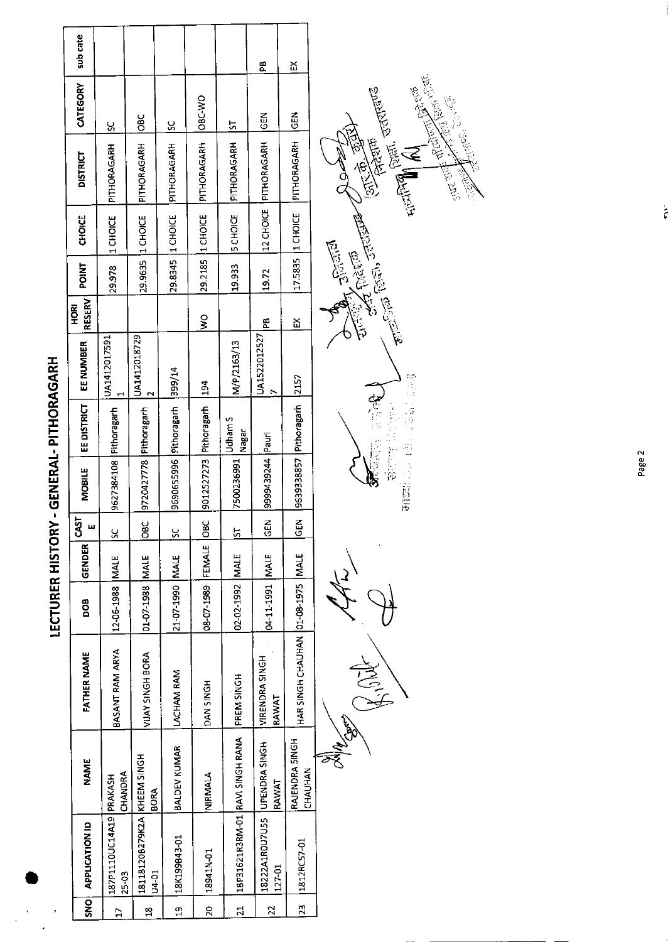| י<br>l          |
|-----------------|
|                 |
| l               |
|                 |
|                 |
| ֠<br>֠<br>֡֡֡֡֡ |

| sub cate              |                                  |                                             |                        |                        |                                 | e.                                       | ద                                 |  |
|-----------------------|----------------------------------|---------------------------------------------|------------------------|------------------------|---------------------------------|------------------------------------------|-----------------------------------|--|
| CATEGORY              | ပ္တ                              | 08C                                         | <u>s</u>               | ORC WO                 | 5                               | $rac{2}{5}$                              | $rac{2}{3}$                       |  |
| <b>DISTRICT</b>       | PITHORAGARH                      | PITHORAGARH                                 | PITHORAGARH            | PITHORAGARH            | <b>PITHORAGARH</b>              | 12 CHOICE PITHORAGARH                    | PITHORAGARH                       |  |
| <b>CHOICE</b>         | 11 CHOICE                        | 29.9635 1 CHOICE                            | 29.8345  1 CHOICE      | 29.2185 1 CHOICE       | SCHOICE                         |                                          | 17.5835 1 CHOICE                  |  |
| POINT                 | 29.978                           |                                             |                        |                        | 19.933                          | 19.72                                    |                                   |  |
| RESERV<br><b>HORI</b> |                                  |                                             |                        | ş                      |                                 | æ                                        | ង្គ                               |  |
| EE NUMBER             | UA1412017591                     | JA1412018729                                | 399/14                 | 194                    | M/P/2163/13                     | JA1522012527                             |                                   |  |
| EE DISTRICT           |                                  |                                             |                        |                        | Udham S<br>Nagar                |                                          | 9639338857 Pithoragarh 2157       |  |
| <b>MOBILE</b>         | 9627384108 Pithoragarh           | 9720427778 Pithoragarh                      | 9690655996 Pithoragarh | 9012527273 Pithoragarh | 7500236991                      | 9999439244 Pauri                         |                                   |  |
| ს<br>3                | $\frac{8}{2}$                    | OBC                                         | <u>s</u>               |                        | 5                               | $rac{5}{5}$                              | <b>IGEN</b>                       |  |
| <b>GENDER</b>         |                                  |                                             |                        |                        |                                 |                                          |                                   |  |
| 8OO                   | 12-06-1988 MALE                  | 01-07-1988 MALE                             | 21-07-1990   MALE      | 08-07-1989 FEMALE OBC  | 02-02-1992 MALE                 | 04-11-1991   MALE                        |                                   |  |
| <b>FATHER NAME</b>    | BASANT RAM ARYA                  | VIJAY SINGH BORA                            | LACHAM RAM             | DAN SINGH              | <b>PREM SINGH</b>               | VIRENDRA SINGH<br>RAWAT                  | HAR SINGH CHAUHAN 01-08-1975 MALE |  |
| <b>NAME</b>           | CHANDRA                          | <b>BORA</b>                                 | <b>BALDEV KUMAR</b>    | NIRMALA                | 18P31621R3RM-01 RAVI SINGH RANA | RAWAT                                    | RAJENDRA SINGH<br>CHAUHAN         |  |
| <b>APPLICATION ID</b> | 187P1110UC14A19 PRAKASH<br>25-03 | 18118120B279K2A KHEEM SINGH<br><b>U4-01</b> | 18K199B43-01           | 18941N-01              |                                 | 18222A1ROU7U55   UPENDRA SINGH<br>127-01 | 1812RC57-01                       |  |
| $\overline{2}$        |                                  | œ                                           | <sub>თ</sub>           | g                      | $\vec{\Omega}$                  | 22                                       | ក្ល                               |  |



న్

**BEE** 5760

 $\in$ 

 $\lim_{n\rightarrow\infty}\frac{1}{n^{2n}}$ 

ć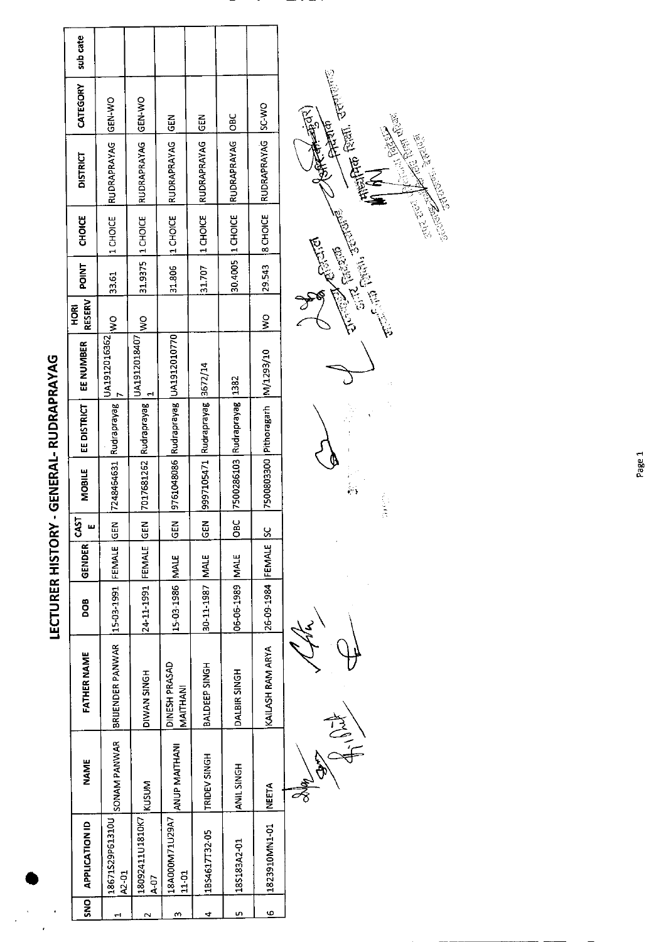| sub cate                    |                          |                                     |                                      |                                |                             |                        |                                                                        |
|-----------------------------|--------------------------|-------------------------------------|--------------------------------------|--------------------------------|-----------------------------|------------------------|------------------------------------------------------------------------|
| CATEGORY                    |                          |                                     | $rac{1}{2}$                          |                                | $rac{6}{5}$                 |                        |                                                                        |
| <b>DISTRICT</b>             | RUDRAPRAYAG   GEN-WO     | 31.9375 1 CHOICE RUDRAPRAYAG GEN-WO | RUDRAPRAYAG                          | RUDRAPRAYAG GEN                | RUDRAPRAYAG                 | RUDRAPRAYAG SC-WO      | $\left\langle \right\rangle$ , $\left\langle \right\rangle$            |
| <b>CHOICE</b>               | 1 CHOICE                 |                                     | 11 CHOICE                            | 31.707 1 CHOICE                | 30.4005 1 CHOICE            | <b>8 CHOICE</b>        |                                                                        |
| <b>POINT</b>                | 33.61                    |                                     | 31.806                               |                                |                             | 29.543                 |                                                                        |
| <b>RESERV</b><br><b>MOH</b> |                          | Ş                                   |                                      |                                |                             | $\geq$                 | $\begin{array}{c} \mathcal{P} \ \mathcal{P} \ \mathcal{P} \end{array}$ |
| EE NUMBER                   | UA1912016362 WO          | JA1912018407                        | 9761048086 Rudraprayag 10A1912010770 |                                |                             | 01/293/10              |                                                                        |
| EE DISTRICT                 |                          |                                     |                                      | 9997105471 Rudraprayag 3672/14 | 7500286103 Rudraprayag 1382 | 7500803300 Pithoragarh |                                                                        |
| <b>MOBILE</b>               | 7248464631 Rudraprayag   | 7017681262 Rudraprayag              |                                      |                                |                             |                        |                                                                        |
| 5<br>ទ                      |                          |                                     | <b>GEN</b>                           | $rac{5}{65}$                   | OBC<br>O                    |                        |                                                                        |
| <b>GENDER</b>               |                          |                                     |                                      |                                |                             |                        |                                                                        |
| <b>800</b>                  | 15-03-1991 FEMALE GEN    | 24-11-1991 FEMALE GEN               | 15-03-1986 MALE                      | 30-11-1987 MALE                | 06-06-1989 MALE             | 26-09-1984 FEMALE SC   |                                                                        |
| <b>FATHER NAME</b>          | <b>BRUENDER PANWAR</b>   | DIWAN SINGH                         | DINESH PRASAD<br><b>MAILANI</b>      | BALDEEP SINGH                  | DALBIR SINGH                | KAILASH RAM ARYA       |                                                                        |
| <b>NAME</b>                 | SONAM PANWAR             | IKUSUM                              | ANUP MATHANI                         | <b>TRIDEV SINGH</b>            | ANIL SINGH                  | <b>NEETA</b>           |                                                                        |
| <b>APPLICATION ID</b>       | 18671529P61310U<br>A2-01 | 18092411U1810K7<br>$4 - 07$         | 18A000M71U29A7<br>11-01              | 1BS4617T32-05                  | 185183A2-01                 | 1823910MN1-01          |                                                                        |
| <b>ONS</b>                  |                          |                                     | m                                    | ₹                              |                             | $\bullet$              |                                                                        |

LECTURER HISTORY - GENERAL- RUDRAPRAYAG

 $\cdot$ 

 $\ddot{\phantom{0}}$ 

All Arien Register

计算机

医夜中 ant and 1 **Algebra** C. The Press . نې<br>لوبا  $\frac{1}{2}$ 4

16.31

**READERS** 

**REGISTER**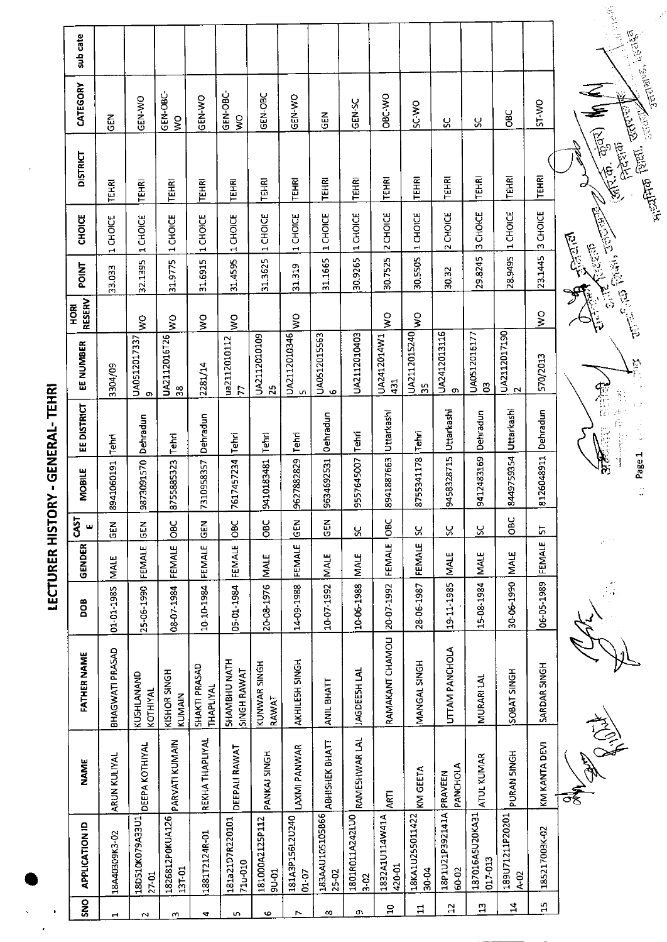| I                   |
|---------------------|
|                     |
| j                   |
|                     |
| $\overline{a}$<br>9 |
|                     |
|                     |
|                     |
|                     |
|                     |
|                     |
|                     |
|                     |
|                     |
|                     |
| I                   |
|                     |
|                     |
|                     |
|                     |
| i                   |
|                     |
|                     |
|                     |

| sub cate<br>CATEGORY<br>GEN-OBC-<br>GEN-OBC-<br>GEN-OBC<br>OBC-WO<br>GEN-WO<br>GEN-WO<br>GEN-WO<br>GEN-SC<br>ST-WO<br>SC WO<br><b>DBC</b><br>GEN<br>$\frac{2}{5}$<br>$\gtrapprox$<br>ŞΛ<br>ပ္တ<br>ပ္တ<br><b>DISTRICT</b><br><b>TEHRI</b><br><b>TEHRI</b><br>TEHRI<br>TEHRI<br>TEHRI<br><b>TEHRI</b><br><b>TEHRI</b><br>TEHRI<br><b>TEHRI</b><br><b>TEHRI</b><br>TEHRI<br>TEHRI<br>TEHRI<br>TEHRI<br>TEHRI<br>3 CHOICE<br>2 CHOICE<br>CHOICE<br>1 CHOICE<br>2 CHOICE<br>1 CHOICE<br>1 CHOICE<br>1 CHOICE<br>CHOICE<br><b>CHOICE</b><br>1 CHOICE<br>1 CHOICE<br>1 CHOICE<br>CHOICE<br>CHOICE<br>CHOICE<br><b>Child</b><br>m<br><b>CALLES BEEN</b><br>$\blacksquare$<br>$\overline{\phantom{0}}$<br>$\mathbf{r}$<br>$\overline{\phantom{0}}$<br>23.1445<br>29.8245<br>28.9495<br>30.5505<br>30.9265<br>30.7525<br>31.1665<br>31.3625<br>31.6915<br>31.4595<br>32.1395<br>31.9775<br><b>POINT</b><br>31.319<br>33.033<br>30.32<br>RESERV<br><b>ROH</b><br>$\frac{1}{2}$<br>o<br>≷<br>Ş<br>Ş<br>$\frac{1}{2}$<br>Š<br>Ş<br>ş<br>UA2112017190<br>UA2112015240<br>UA2412013116<br>UA0512016177<br>UA2112010346<br>UA2112010403<br>UA0512015563<br>UA2112010109<br>UA2412014W1<br>UA2112016T26<br>UA0512017337<br>ua2112010112<br>EE NUMBER<br>570/2013<br>2281/14<br>3304/09<br>431<br>ප<br>35<br>$\overline{2}$<br>38<br>$\overline{z}$<br>$\mathbf{\tilde{z}}$<br>$\sigma$<br>G<br>S<br>$\sigma$<br>EE DISTRICT<br>Uttarkashi<br>Uttarkashi<br>Dehradun<br>Uttarkashi<br>Dehradun<br><b>Oehradun</b><br>Dehradun<br>Dehradun<br>Tehri<br>Tehri<br>Tehri<br>Tehri<br>Tehri<br>Tehri<br>Tehri |                                                                                                                                                                                                                                  |
|----------------------------------------------------------------------------------------------------------------------------------------------------------------------------------------------------------------------------------------------------------------------------------------------------------------------------------------------------------------------------------------------------------------------------------------------------------------------------------------------------------------------------------------------------------------------------------------------------------------------------------------------------------------------------------------------------------------------------------------------------------------------------------------------------------------------------------------------------------------------------------------------------------------------------------------------------------------------------------------------------------------------------------------------------------------------------------------------------------------------------------------------------------------------------------------------------------------------------------------------------------------------------------------------------------------------------------------------------------------------------------------------------------------------------------------------------------------------------------------------------------------------------------------------------------------------------------------|----------------------------------------------------------------------------------------------------------------------------------------------------------------------------------------------------------------------------------|
|                                                                                                                                                                                                                                                                                                                                                                                                                                                                                                                                                                                                                                                                                                                                                                                                                                                                                                                                                                                                                                                                                                                                                                                                                                                                                                                                                                                                                                                                                                                                                                                        | estas estas en la contradición de la contradición de la contradición de la contradición de la contradición de<br>Contradición<br><b>THURE</b> , LECTER                                                                           |
|                                                                                                                                                                                                                                                                                                                                                                                                                                                                                                                                                                                                                                                                                                                                                                                                                                                                                                                                                                                                                                                                                                                                                                                                                                                                                                                                                                                                                                                                                                                                                                                        | $\frac{1}{2}$                                                                                                                                                                                                                    |
|                                                                                                                                                                                                                                                                                                                                                                                                                                                                                                                                                                                                                                                                                                                                                                                                                                                                                                                                                                                                                                                                                                                                                                                                                                                                                                                                                                                                                                                                                                                                                                                        | <sub>sti</sub> ction Garan Garanghi<br>( 50 - 50 )<br>PARTITO                                                                                                                                                                    |
|                                                                                                                                                                                                                                                                                                                                                                                                                                                                                                                                                                                                                                                                                                                                                                                                                                                                                                                                                                                                                                                                                                                                                                                                                                                                                                                                                                                                                                                                                                                                                                                        | موانستان المائل المائل المائل المائل المائل المائل المائل المائل المائل المائل المائل المائل المائل المائل الم<br>المائل المائل المائل المائل المائل المائل المائل المائل المائل المائل المائل المائل المائل المائل المائل المائ |
|                                                                                                                                                                                                                                                                                                                                                                                                                                                                                                                                                                                                                                                                                                                                                                                                                                                                                                                                                                                                                                                                                                                                                                                                                                                                                                                                                                                                                                                                                                                                                                                        |                                                                                                                                                                                                                                  |
|                                                                                                                                                                                                                                                                                                                                                                                                                                                                                                                                                                                                                                                                                                                                                                                                                                                                                                                                                                                                                                                                                                                                                                                                                                                                                                                                                                                                                                                                                                                                                                                        |                                                                                                                                                                                                                                  |
|                                                                                                                                                                                                                                                                                                                                                                                                                                                                                                                                                                                                                                                                                                                                                                                                                                                                                                                                                                                                                                                                                                                                                                                                                                                                                                                                                                                                                                                                                                                                                                                        | ř,                                                                                                                                                                                                                               |
|                                                                                                                                                                                                                                                                                                                                                                                                                                                                                                                                                                                                                                                                                                                                                                                                                                                                                                                                                                                                                                                                                                                                                                                                                                                                                                                                                                                                                                                                                                                                                                                        |                                                                                                                                                                                                                                  |
| 8126048911<br>9458328715<br>8449759354<br>9412483169<br>9557645007<br>8755341178<br>9627882829<br>8941887663<br>7617457234<br>9634692531<br>9410183481<br>9873091570<br>8755885323<br>7310958357<br>8941060191<br><b>MOBILE</b>                                                                                                                                                                                                                                                                                                                                                                                                                                                                                                                                                                                                                                                                                                                                                                                                                                                                                                                                                                                                                                                                                                                                                                                                                                                                                                                                                        | Page 1<br>Ö,                                                                                                                                                                                                                     |
| OBC<br><b>CAST</b><br>$rac{C}{C}$<br>$rac{2}{5}$<br><b>OBC</b><br><b>GEN</b><br>08C<br><b>SBC</b><br><b>GEN</b><br>65<br><b>SEN</b><br>ш<br>ပ္တ<br>57<br>ပ္တ<br>ပ္တ<br>ပ္ပ                                                                                                                                                                                                                                                                                                                                                                                                                                                                                                                                                                                                                                                                                                                                                                                                                                                                                                                                                                                                                                                                                                                                                                                                                                                                                                                                                                                                             |                                                                                                                                                                                                                                  |
| FEMALE<br><b>GENDER</b><br>FEMALE<br>FEMALE<br>FEMALE<br>FEMALE<br>FEMALE<br>FEMALE<br>FEMALE<br><b>INALE</b><br><b>NALE</b><br><b>MALE</b><br>MALE<br><b>MALE</b><br><b>MALE</b><br><b>MALE</b>                                                                                                                                                                                                                                                                                                                                                                                                                                                                                                                                                                                                                                                                                                                                                                                                                                                                                                                                                                                                                                                                                                                                                                                                                                                                                                                                                                                       | z,                                                                                                                                                                                                                               |
| 30-06-1990<br>19-11-1985<br>06-05-1989<br>28-06-1987<br>15-08-1984<br>10-06 1988<br>20-07 1992<br>05-01-1984<br>20-08-1976<br>10-07 1992<br>14-09-1988<br>25-06-1990<br>08-07-1984<br>10-10-1984<br>01-01-1985<br><b>BOO</b>                                                                                                                                                                                                                                                                                                                                                                                                                                                                                                                                                                                                                                                                                                                                                                                                                                                                                                                                                                                                                                                                                                                                                                                                                                                                                                                                                           |                                                                                                                                                                                                                                  |
| RAMAKANT CHAMOLI<br><b>UTTAM PANCHOLA</b><br>BHAGWATI PRASAD<br>FATHER NAME<br>SHAMBHU NATH<br>AKHILESH SINGH<br>MANGAL SINGH<br>KUNWAR SINGH<br>SARDAR SINGH<br>SHAKTI PRASAD<br>JAGDEESH LAL<br><b>SINGH RAWAT</b><br>SOBAT SINGH<br>KISHOR SINGH<br>KUSHLANAND<br><b>MURARI LAL</b><br>ANIL BHATT<br>THAPLIYAL<br>KOTHIYAL<br>KUMAIN<br>RAWAT                                                                                                                                                                                                                                                                                                                                                                                                                                                                                                                                                                                                                                                                                                                                                                                                                                                                                                                                                                                                                                                                                                                                                                                                                                       |                                                                                                                                                                                                                                  |
| RAMESHWAR LAL<br>REKHA THAPLIYAL<br>PARVATI KUMAIN<br><b>ABHISHEK BHATT</b><br>KM KANTA DEVI<br><b>DEEPA KOTHIYAL</b><br>LAXMI PANWAR<br>DEEPALI RAWAT<br>PURAN SINGH<br>PANKAJ SINGH<br>ARUN KULIYAL<br>ATUL KUMAR<br><b>NAME</b><br>PANCHOLA<br>KM GEETA<br>ARTI                                                                                                                                                                                                                                                                                                                                                                                                                                                                                                                                                                                                                                                                                                                                                                                                                                                                                                                                                                                                                                                                                                                                                                                                                                                                                                                     | AND PARK                                                                                                                                                                                                                         |
| 18P1U21P392141A PRAVEEN<br>187016A5U20KA31<br>183AAU105105B66<br>1832A1U114W41A<br>18KA1U255011422<br>189U71211P20201<br>1801R011A242LU0<br>1826812P0KUA126<br>181A3P156L2U240<br>18D510K079A33U1<br>181a21D7R220101<br>181000A2125P112<br>APPLICATION ID<br>185217003K-02<br>18A40309K3-02<br>1881T2124R-01<br>017-013<br>71u-010<br>420-01<br>131-01<br>30-04<br>60-02<br>9U-01<br>$01 - 07$<br>$25 - 02$<br>$A - 02$<br>27-01<br>$3-02$                                                                                                                                                                                                                                                                                                                                                                                                                                                                                                                                                                                                                                                                                                                                                                                                                                                                                                                                                                                                                                                                                                                                             |                                                                                                                                                                                                                                  |
| <b>SNO</b><br>$\frac{2}{3}$<br>$\mathbf{r}$<br>$\Xi$<br>$\mathbf{r}$<br>$\Xi$<br>$\Xi$<br>c<br>$\infty$<br>6<br>r.<br>4<br>S.<br>$\alpha$<br>$\mathbf{r}$<br>$\sim$                                                                                                                                                                                                                                                                                                                                                                                                                                                                                                                                                                                                                                                                                                                                                                                                                                                                                                                                                                                                                                                                                                                                                                                                                                                                                                                                                                                                                    |                                                                                                                                                                                                                                  |

è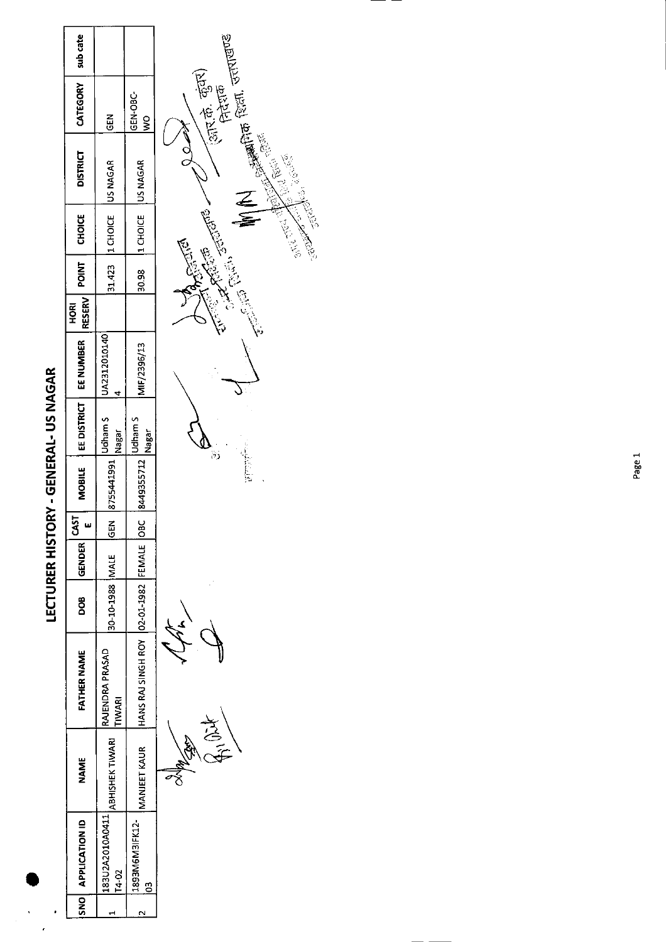| I |
|---|
|   |
| I |
| י |
|   |
|   |
|   |
|   |
|   |
| ı |
|   |
|   |
| ı |
|   |
| I |
|   |
|   |
|   |
|   |
|   |
|   |

 $\frac{1}{2}$ 

| SNO APPLICATION ID       | NAME                   | <b>FATHER NAME</b>                             | 00B             | GENDER | 5<br>Ŝ | <b>VIGBILE</b> | EE DISTRICT   EE NUMBER |              | RESERV<br><b>ROKI</b> | POINT | <b>CHOICE</b>            | <b>DISTRICT</b> | <b>CATEGORY</b>           | sub cate |
|--------------------------|------------------------|------------------------------------------------|-----------------|--------|--------|----------------|-------------------------|--------------|-----------------------|-------|--------------------------|-----------------|---------------------------|----------|
| 183U2A2010A0411<br>T4-02 | <b>ABHISHEK TIWARI</b> | <b>RAJENDRA PRASAD</b><br>TIWARI               | 30-10-1988 MALE |        | é      | 755441991      | Udham S<br>Nagar        | UA2312010140 |                       |       | 31.423 ILCHOICE US NAGAR |                 | š                         |          |
| 1893M6M3IFK12-           | <b>MANIEET KAUR</b>    | HANS RAJ SINGH ROY   02-01-1982   FEMALE   OBC |                 |        |        | 8449355712     | ludham S<br>Nagar       | VIIF/2396/13 |                       | 30.98 | ILCHOICE US NAGAR        |                 | GEN-OBC-<br>$\frac{8}{5}$ |          |
|                          |                        |                                                |                 |        |        |                |                         |              |                       |       |                          |                 |                           |          |

Allen Architects w<br>S

Expertise form, critering (आर.के. कुंतर)<br>सिदाक  $\sum_{i=1}^{n}$ 1991-19 N<br>E **ALL POSTAGE**  $2$  $\widehat{\mathbb{Q}}$ **REPORT**  $\ddot{\phantom{a}}$ 

A. A.

**ROAD**